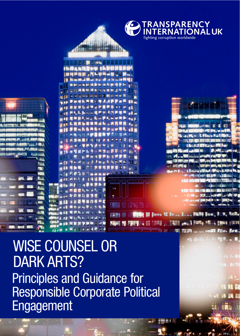

# Principles and Guidance for Responsible Corporate Political Engagement WISE COUNSEL OR DARK ARTS?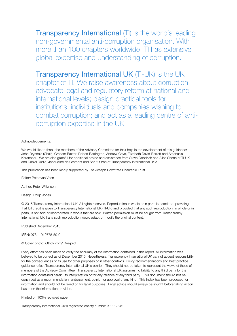**Transparency International** (TI) is the world's leading non-governmental anti-corruption organisation. With more than 100 chapters worldwide, TI has extensive global expertise and understanding of corruption.

Transparency International UK (TI-UK) is the UK chapter of TI. We raise awareness about corruption; advocate legal and regulatory reform at national and international levels; design practical tools for institutions, individuals and companies wishing to combat corruption; and act as a leading centre of anticorruption expertise in the UK.

#### Acknowledgements:

We would like to thank the members of the Advisory Committee for their help in the development of this guidance: John Drysdale (Chair), Graham Baxter, Robert Barrington, Andrew Cave, Elizabeth David-Barrett and Athanasia Karananou. We are also grateful for additional advice and assistance from Steve Goodrich and Alice Shone of TI-UK and Daniel Dudid, Jacqueline de Gramont and Shruti Shah of Transparency International USA.

This publication has been kindly supported by The Joseph Rowntree Charitable Trust.

Editor: Peter van Veen

Author: Peter Wilkinson

Design: Philip Jones

© 2015 Transparency International UK. All rights reserved. Reproduction in whole or in parts is permitted, providing that full credit is given to Transparency International UK (TI-UK) and provided that any such reproduction, in whole or in parts, is not sold or incorporated in works that are sold. Written permission must be sought from Transparency International UK if any such reproduction would adapt or modify the original content.

Published December 2015.

ISBN: 978-1-910778-50-0

© Cover photo: iStock.com/ Deejpilot

Every effort has been made to verify the accuracy of the information contained in this report. All information was believed to be correct as of December 2015. Nevertheless, Transparency International UK cannot accept responsibility for the consequences of its use for other purposes or in other contexts. Policy recommendations and best practice guidance reflect Transparency International UK's opinion. They should not be taken to represent the views of those of members of the Advisory Committee. Transparency International UK assumes no liability to any third party for the information contained herein, its interpretation or for any reliance of any third party. This document should not be construed as a recommendation, endorsement, opinion or approval of any kind. This Index has been produced for information and should not be relied on for legal purposes. Legal advice should always be sought before taking action based on the information provided.

Printed on 100% recycled paper.

Transparency International UK's registered charity number is 1112842.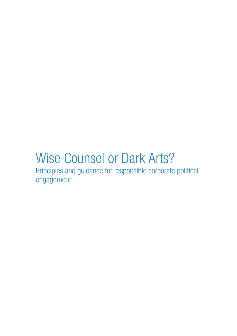# Wise Counsel or Dark Arts?

Principles and guidance for responsible corporate political engagement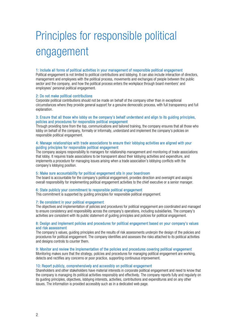# Principles for responsible political engagement

#### 1: Include all forms of political activities in your management of responsible political engagement

Political engagement is not limited to political contributions and lobbying. It can also include interaction of directors, management and employees with the political process, movements and exchanges of people between the public sector and the company, and how the political process enters the workplace through board members' and employees' personal political engagement.

#### 2: Do not make political contributions

Corporate political contributions should not be made on behalf of the company other than in exceptional circumstances where they provide general support for a genuine democratic process, with full transparency and full explanation.

#### 3: Ensure that all those who lobby on the company's behalf understand and align to its guiding principles, policies and procedures for responsible political engagement

Through providing tone from the top, communications and tailored training, the company ensures that all those who lobby on behalf of the company, formally or informally, understand and implement the company's policies on responsible political engagement.

#### 4: Manage relationships with trade associations to ensure their lobbying activities are aligned with your guiding principles for responsible political engagement

The company assigns responsibility to managers for relationship management and monitoring of trade associations that lobby. It requires trade associations to be transparent about their lobbying activities and expenditure, and implements a procedure for managing issues arising when a trade association's lobbying conflicts with the company's lobbying position.

#### 5: Make sure accountability for political engagement sits in your boardroom

The board is accountable for the company's political engagement, provides direction and oversight and assigns overall responsibility for implementing political engagement activities to the chief executive or a senior manager.

#### 6: State publicly your commitment to responsible political engagement

This commitment is supported by guiding principles for responsible political engagement.

#### 7: Be consistent in your political engagement

The objectives and implementation of policies and procedures for political engagement are coordinated and managed to ensure consistency and responsibility across the company's operations, including subsidiaries. The company's activities are consistent with its public statement of guiding principles and policies for political engagement.

#### 8: Design and implement policies and procedures for political engagement based on your company's values and risk assessment

The company's values, guiding principles and the results of risk assessments underpin the design of the policies and procedures for political engagement. The company identifies and assesses the risks attached to its political activities and designs controls to counter them.

#### 9: Monitor and review the implementation of the policies and procedures covering political engagement

Monitoring makes sure that the strategy, policies and procedures for managing political engagement are working, detects and rectifies any concerns or poor practice, supporting continuous improvement.

#### 10: Report publicly, comprehensively and accessibly on political engagement

Shareholders and other stakeholders have material interests in corporate political engagement and need to know that the company is managing its political activities responsibly and effectively. The company reports fully and regularly on its guiding principles, objectives, lobbying interests, activities, contributions and expenditures and on any other issues. The information is provided accessibly such as in a dedicated web page.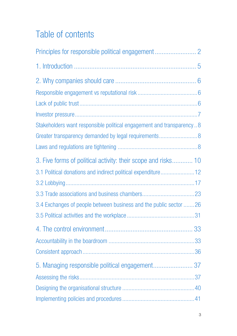# Table of contents

| Stakeholders want responsible political engagement and transparency8 |  |
|----------------------------------------------------------------------|--|
|                                                                      |  |
|                                                                      |  |
| 3. Five forms of political activity: their scope and risks 10        |  |
| 3.1 Political donations and indirect political expenditure 12        |  |
|                                                                      |  |
|                                                                      |  |
| 3.4 Exchanges of people between business and the public sector 26    |  |
|                                                                      |  |
|                                                                      |  |
|                                                                      |  |
|                                                                      |  |
| 5. Managing responsible political engagement 37                      |  |
|                                                                      |  |
|                                                                      |  |
|                                                                      |  |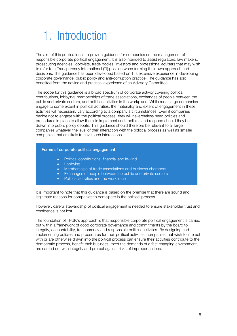# 1. Introduction

The aim of this publication is to provide guidance for companies on the management of responsible corporate political engagement. It is also intended to assist regulators, law makers, prosecuting agencies, lobbyists, trade bodies, investors and professional advisers that may wish to refer to a Transparency International (TI) position when forming their own approach and decisions. The guidance has been developed based on TI's extensive experience in developing corporate governance, public policy and anti-corruption practice. The guidance has also benefited from the advice and practical experience of an Advisory Committee.

The scope for this guidance is a broad spectrum of corporate activity covering political contributions, lobbying, memberships of trade associations, exchanges of people between the public and private sectors, and political activities in the workplace. While most large companies engage to some extent in political activities, the materiality and extent of engagement in these activities will necessarily vary according to a company's circumstances. Even if companies decide not to engage with the political process, they will nevertheless need policies and procedures in place to allow them to implement such policies and respond should they be drawn into public policy debate. This guidance should therefore be relevant to all large companies whatever the level of their interaction with the political process as well as smaller companies that are likely to have such interactions.

#### Forms of corporate political engagement:

- Political contributions: financial and in-kind
- Lobbying
- Memberships of trade associations and business chambers
- Exchanges of people between the public and private sectors
- Political activities and the workplace

It is important to note that this guidance is based on the premise that there are sound and legitimate reasons for companies to participate in the political process.

However, careful stewardship of political engagement is needed to ensure stakeholder trust and confidence is not lost.

The foundation of TI-UK's approach is that responsible corporate political engagement is carried out within a framework of good corporate governance and commitments by the board to integrity, accountability, transparency and responsible political activities. By designing and implementing policies and procedures for their political activities, companies that wish to interact with or are otherwise drawn into the political process can ensure their activities contribute to the democratic process, benefit their business, meet the demands of a fast changing environment, are carried out with integrity and protect against risks of improper actions.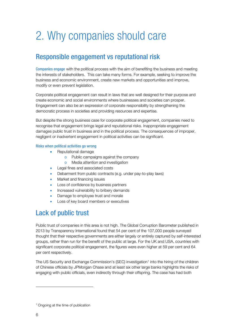# 2. Why companies should care

# Responsible engagement vs reputational risk

Companies engage with the political process with the aim of benefiting the business and meeting the interests of stakeholders. This can take many forms. For example, seeking to improve the business and economic environment, create new markets and opportunities and improve, modify or even prevent legislation.

Corporate political engagement can result in laws that are well designed for their purpose and create economic and social environments where businesses and societies can prosper. Engagement can also be an expression of corporate responsibility by strengthening the democratic process in societies and providing resources and expertise.

But despite the strong business case for corporate political engagement, companies need to recognise that engagement brings legal and reputational risks. Inappropriate engagement damages public trust in business and in the political process. The consequences of improper, negligent or inadvertent engagement in political activities can be significant.

#### Risks when political activities go wrong

- Reputational damage
	- o Public campaigns against the company
	- o Media attention and investigation
- Legal fines and associated costs
- Debarment from public contracts (e.g. under pay-to-play laws)
- Market and financing issues
- Loss of confidence by business partners
- Increased vulnerability to bribery demands
- Damage to employee trust and morale
- Loss of key board members or executives

# Lack of public trust

Public trust of companies in this area is not high. The Global Corruption Barometer published in 2013 by Transparency International found that 54 per cent of the 107,000 people surveyed thought that their respective governments are either largely or entirely captured by self-interested groups, rather than run for the benefit of the public at large. For the UK and USA, countries with significant corporate political engagement, the figures were even higher at 59 per cent and 64 per cent respectively.

The US Security and Exchange Commission's (SEC) investigation<sup>[1](#page-7-0)</sup> into the hiring of the children of Chinese officials by JPMorgan Chase and at least six other large banks highlights the risks of engaging with public officials, even indirectly through their offspring. The case has had both

<span id="page-7-0"></span><sup>&</sup>lt;sup>1</sup> Ongoing at the time of publication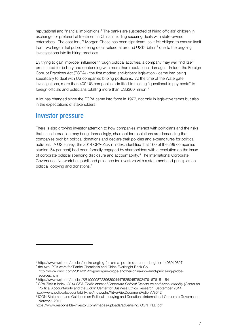reputational and financial implications. [2](#page-8-0) The banks are suspected of hiring officials' children in exchange for preferential treatment in China including securing deals with state-owned enterprises. The cost for JP Morgan Chase has been significant, as it felt obliged to excuse itself from two large initial public offering deals valued at around US\$4 billion<sup>[3](#page-8-1)</sup> due to the ongoing investigations into its hiring practices.

By trying to gain improper influence through political activities, a company may well find itself prosecuted for bribery and contending with more than reputational damage. In fact, the Foreign Corrupt Practices Act (FCPA) - the first modern anti-bribery legislation - came into being specifically to deal with US companies bribing politicians. At the time of the Watergate investigations, more than 400 US companies admitted to making "questionable payments" to foreign officials and politicians totalling more than US\$300 million. [4](#page-8-2)

A lot has changed since the FCPA came into force in 1977, not only in legislative terms but also in the expectations of stakeholders.

# Investor pressure

-

There is also growing investor attention to how companies interact with politicians and the risks that such interaction may bring. Increasingly, shareholder resolutions are demanding that companies prohibit political donations and declare their policies and expenditures for political activities. A US survey, the 2014 CPA-Zicklin Index, identified that 160 of the 299 companies studied (54 per cent) had been formally engaged by shareholders with a resolution on the issue of corporate political spending disclosure and accountability.[5](#page-8-3) The International Corporate Governance Network has published guidance for investors with a statement and principles on political lobbying and donations.[6](#page-8-4)

<span id="page-8-1"></span><span id="page-8-0"></span><sup>2</sup> http://www.wsj.com/articles/banks-angling-for-china-ipo-hired-a-ceos-daughter-1406910827

<sup>3</sup> the two IPOs were for Tianhe Chemicals and China Everbright Bank Co http://www.cnbc.com/2014/01/21/jpmorgan-drops-another-china-ipo-amid-princeling-probesources.html

<span id="page-8-2"></span><sup>4</sup> http://www.wsj.com/articles/SB10000872396390444752504578024791676151154

<span id="page-8-3"></span><sup>5</sup> CPA-Zicklin Index, 2014 CPA-Zicklin Index of Corporate Political Disclosure and Accountability (Center for Political Accountability and the Zicklin Center for Business Ethics Research, September 2014).

<span id="page-8-4"></span>http://www.politicalaccountability.net/index.php?ht=a/GetDocumentAction/i/8642 <sup>6</sup> ICGN Statement and Guidance on Political Lobbying and Donations (International Corporate Governance Network, 2011)

https://www.responsible-investor.com/images/uploads/advertising/ICGN\_PLD.pdf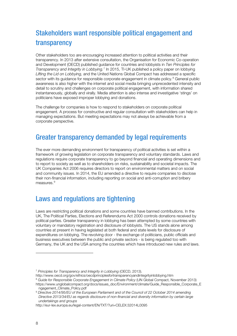# Stakeholders want responsible political engagement and transparency

Other stakeholders too are encouraging increased attention to political activities and their transparency. In 2013 after extensive consultation, the Organisation for Economic Co-operation and Development (OECD) published guidance for countries and lobbyists in Ten Principles for Transparency and Integrity in Lobbying.<sup>[7](#page-9-0)</sup> In 2015, TI-UK published a policy paper on lobbying Lifting the Lid on Lobbying, and the United Nations Global Compact has addressed a specific sector with its guidance for responsible corporate engagement in climate policy.<sup>[8](#page-9-1)</sup> General public awareness is also higher with the internet and social media bringing unprecedented intensity and detail to scrutiny and challenges on corporate political engagement, with information shared instantaneously, globally and virally. Media attention is also intense and investigative 'stings' on politicians have exposed improper lobbying and donations.

The challenge for companies is how to respond to stakeholders on corporate political engagement. A process for constructive and regular consultation with stakeholders can help in managing expectations. But meeting expectations may not always be achievable from a corporate perspective.

# Greater transparency demanded by legal requirements

The ever more demanding environment for transparency of political activities is set within a framework of growing legislation on corporate transparency and voluntary standards. Laws and regulations require corporate transparency to go beyond financial and operating dimensions and to report to society as well as to shareholders on risks, sustainability and societal impacts. The UK Companies Act 2006 requires directors to report on environmental matters and on social and community issues. In 2014, the EU amended a directive to require companies to disclose their non-financial information, including reporting on social and anti-corruption and bribery measures.<sup>[9](#page-9-2)</sup>

# Laws and regulations are tightening

Laws are restricting political donations and some countries have banned contributions. In the UK, The Political Parties, Elections and Referendums Act 2000 controls donations received by political parties. Greater transparency in lobbying has been attempted by some countries with voluntary or mandatory registration and disclosure of lobbyists. The US stands alone among countries at present in having legislated at both federal and state levels for disclosure of expenditures on lobbying. The revolving door - the exchange of politicians, public officials and business executives between the public and private sectors - is being regulated too with Germany, the UK and the USA among the countries which have introduced new rules and laws.

<span id="page-9-0"></span><sup>&</sup>lt;sup>7</sup> Principles for Transparency and Integrity in Lobbying (OECD, 2013).

http://www.oecd.org/gov/ethics/oecdprinciplesfortransparencyandintegrityinlobbying.htm

<span id="page-9-1"></span><sup>&</sup>lt;sup>8</sup> Guide for Responsible Corporate Engagement in Climate Policy (UN Global Compact, November 2013) https://www.unglobalcompact.org/docs/issues\_doc/Environment/climate/Guide\_Responsible\_Corporate\_E

ngagement\_Climate\_Policy.pdf

<span id="page-9-2"></span><sup>9</sup> Directive 2014/95/EU of the European Parliament and of the Council of 22 October 2014 amending Directive 2013/34/EU as regards disclosure of non-financial and diversity information by certain large undertakings and groups

http://eur-lex.europa.eu/legal-content/EN/TXT/?uri=CELEX:32014L0095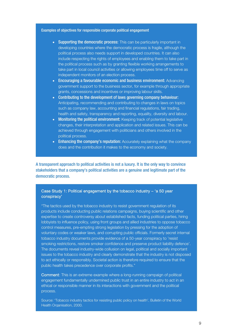#### Examples of objectives for responsible corporate political engagement

- Supporting the democratic process: This can be particularly important in developing countries where the democratic process is fragile, although the political process also needs support in developed countries. It can also include respecting the rights of employees and enabling them to take part in the political process such as by granting flexible working arrangements to take part in local council activities or allowing employees time off to serve as independent monitors of an election process.
- Encouraging a favourable economic and business environment: Advancing government support to the business sector, for example through appropriate grants, concessions and incentives or improving labour skills.
- Contributing to the development of laws governing company behaviour: Anticipating, recommending and contributing to changes in laws on topics such as company law, accounting and financial regulations, fair trading, health and safety, transparency and reporting, equality, diversity and labour.
- Monitoring the political environment: Keeping track of potential legislative changes, their interpretation and application and related issues. This can be achieved through engagement with politicians and others involved in the political process.
- Enhancing the company's reputation: Accurately explaining what the company does and the contribution it makes to the economy and society.

A transparent approach to political activities is not a luxury. It is the only way to convince stakeholders that a company's political activities are a genuine and legitimate part of the democratic process.

#### Case Study 1: Political engagement by the tobacco industry – 'a 50 year conspiracy'

"The tactics used by the tobacco industry to resist government regulation of its products include conducting public relations campaigns, buying scientific and other expertise to create controversy about established facts, funding political parties, hiring lobbyists to influence policy, using front groups and allied industries to oppose tobacco control measures, pre-empting strong legislation by pressing for the adoption of voluntary codes or weaker laws, and corrupting public officials. Formerly secret internal tobacco industry documents provide evidence of a 50-year conspiracy to 'resist smoking restrictions, restore smoker confidence and preserve product liability defence'. The documents reveal industry-wide collusion on legal, political and socially important issues to the tobacco industry and clearly demonstrate that the industry is not disposed to act ethically or responsibly. Societal action is therefore required to ensure that the public health takes precedence over corporate profits."

Comment: This is an extreme example where a long-running campaign of political engagement fundamentally undermined public trust in an entire industry to act in an ethical or responsible manner in its interactions with government and the political process.

Source: 'Tobacco industry tactics for resisting public policy on health', Bulletin of the World Health Organisation, 2000.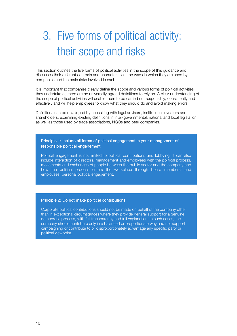# 3. Five forms of political activity: their scope and risks

This section outlines the five forms of political activities in the scope of this guidance and discusses their different contexts and characteristics, the ways in which they are used by companies and the main risks involved in each.

It is important that companies clearly define the scope and various forms of political activities they undertake as there are no universally agreed definitions to rely on. A clear understanding of the scope of political activities will enable them to be carried out responsibly, consistently and effectively and will help employees to know what they should do and avoid making errors.

Definitions can be developed by consulting with legal advisers, institutional investors and shareholders, examining existing definitions in inter-governmental, national and local legislation as well as those used by trade associations, NGOs and peer companies.

#### Principle 1: Include all forms of political engagement in your management of responsible political engagement

Political engagement is not limited to political contributions and lobbying. It can also include interaction of directors, management and employees with the political process, movements and exchanges of people between the public sector and the company and how the political process enters the workplace through board members' and employees' personal political engagement.

#### Principle 2: Do not make political contributions

Corporate political contributions should not be made on behalf of the company other than in exceptional circumstances where they provide general support for a genuine democratic process, with full transparency and full explanation. In such cases, the company should contribute only in a balanced or proportionate way and not support campaigning or contribute to or disproportionately advantage any specific party or political viewpoint.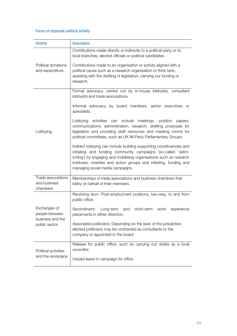### Forms of corporate political activity

| <b>Activity</b>                                                     | <b>Description</b>                                                                                                                                                                                                                                                                                                      |
|---------------------------------------------------------------------|-------------------------------------------------------------------------------------------------------------------------------------------------------------------------------------------------------------------------------------------------------------------------------------------------------------------------|
|                                                                     | Contributions made directly or indirectly to a political party or its<br>local branches, elected officials or political candidates.                                                                                                                                                                                     |
| Political donations<br>and expenditure                              | Contributions made to an organisation or activity aligned with a<br>political cause such as a research organisation or think tank,<br>assisting with the drafting of legislation, carrying our funding or<br>research.                                                                                                  |
|                                                                     | Formal advocacy carried out by in-house lobbyists, consultant<br>lobbyists and trade associations.                                                                                                                                                                                                                      |
|                                                                     | Informal advocacy by board members, senior executives or<br>specialists.                                                                                                                                                                                                                                                |
| Lobbying                                                            | Lobbying<br>activities<br>include meetings,<br>can<br>position<br>papers,<br>communications, administration, research, drafting proposals for<br>legislation and providing staff resources and meeting rooms for<br>political committees, such as UK All-Party Parliamentary Groups.                                    |
|                                                                     | Indirect lobbying can include building supporting constituencies and<br>initiating and funding community campaigns (so-called 'astro-<br>turfing') by engaging and mobilising organisations such as research<br>institutes, charities and action groups and initiating, funding and<br>managing social media campaigns. |
| Trade associations<br>and business<br>chambers                      | Memberships of trade associations and business chambers that<br>lobby on behalf of their members.                                                                                                                                                                                                                       |
|                                                                     | Revolving door: Post-employment positions, two-way, to and from<br>public office.                                                                                                                                                                                                                                       |
| Exchanges of<br>people between<br>business and the<br>public sector | Secondment:<br>Long-term<br>short-term<br>and<br>work<br>experience<br>placements in either direction.                                                                                                                                                                                                                  |
|                                                                     | Associated politicians: Depending on the laws of the jurisdiction,<br>elected politicians may be contracted as consultants to the<br>company or appointed to the board.                                                                                                                                                 |
| Political activities                                                | Release for public office, such as carrying out duties as a local<br>councillor.                                                                                                                                                                                                                                        |
| and the workplace                                                   | Unpaid leave to campaign for office.                                                                                                                                                                                                                                                                                    |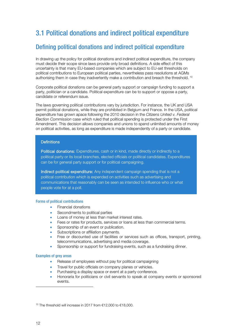# 3.1 Political donations and indirect political expenditure

## Defining political donations and indirect political expenditure

In drawing up the policy for political donations and indirect political expenditure, the company must decide their scope since laws provide only broad definitions. A side effect of this uncertainty is that many EU-based companies which are subject to EU-set thresholds on political contributions to European political parties, nevertheless pass resolutions at AGMs authorising them in case they inadvertently make a contribution and breach the threshold. [10](#page-13-0)

Corporate political donations can be general party support or campaign funding to support a party, politician or a candidate. Political expenditure can be to support or oppose a party, candidate or referendum issue.

The laws governing political contributions vary by jurisdiction. For instance, the UK and USA permit political donations, while they are prohibited in Belgium and France. In the USA, political expenditure has grown apace following the 2010 decision in the Citizens United v. Federal Election Commission case which ruled that political spending is protected under the First Amendment. This decision allows companies and unions to spend unlimited amounts of money on political activities, as long as expenditure is made independently of a party or candidate.

#### **Definitions**

Political donations: Expenditures, cash or in kind, made directly or indirectly to a political party or its local branches, elected officials or political candidates. Expenditures can be for general party support or for political campaigning.

Indirect political expenditure: Any independent campaign spending that is not a political contribution which is expended on activities such as advertising and communications that reasonably can be seen as intended to influence who or what people vote for at a poll.

#### Forms of political contributions

- Financial donations
- Secondments to political parties
- Loans of money at less than market interest rates.
- Fees or rates for products, services or loans at less than commercial terms.
- Sponsorship of an event or publication.
- Subscriptions or affiliation payments.
- Free or discounted use of facilities or services such as offices, transport, printing, telecommunications, advertising and media coverage.
- Sponsorship or support for fundraising events, such as a fundraising dinner.

#### Examples of grey areas

- Release of employees without pay for political campaigning
- Travel for public officials on company planes or vehicles.
- Purchasing a display space or event at a party conference.
- Honoraria for politicians or civil servants to speak at company events or sponsored events.

<span id="page-13-0"></span><sup>10</sup> The threshold will increase in 2017 from €12,000 to €18,000.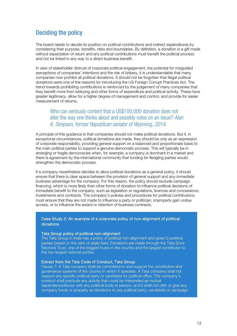## Deciding the policy

The board needs to decide its position on political contributions and indirect expenditures by considering their purpose, benefits, risks and boundaries. By definition, a donation is a gift made without expectation of return and any political contributions must benefit the political process and not be linked in any way to a direct business benefit.

In view of stakeholder distrust of corporate political engagement, the potential for misguided perceptions of companies' intentions and the risk of bribery, it is understandable that many companies now prohibit all political donations. It should not be forgotten that illegal political donations were one of the reasons for introducing the US Foreign Corrupt Practices Act. The trend towards prohibiting contributions is reinforced by the judgement of many companies that they benefit more from lobbying and other forms of expenditure and political activity. These have greater legitimacy, allow for a higher degree of management and control, and provide for easier measurement of returns.

### Who can seriously content that a US\$100,000 donation does not alter the way one thinks about and possibly votes on an issue? Alan K. Simpson, former Republican senator of Wyoming, 2014.

A principle of this guidance is that companies should not make political donations. But if, in exceptional circumstances, political donations are made, they should be only as an expression of corporate responsibility, providing general support on a balanced and proportionate basis to the main political parties to support a genuine democratic process. This will typically be in emerging or fragile democracies when, for example, a company is dominant in a market and there is agreement by the international community that funding for fledgling parties would strengthen the democratic process.

If a company nevertheless decides to allow political donations as a general policy, it should ensure that there is clear space between the provision of general support and any immediate business advantage for the company. For this reason, the policy should exclude campaign financing, which is more likely than other forms of donation to influence political decisions of immediate benefit to the company, such as legislation or regulations, licences and concessions, investments and contracts. The company's policies and procedures for political contributions must ensure that they are not made to influence a party or politician, improperly gain undue access, or to influence the award or retention of business contracts.

#### Case Study 2: An example of a corporate policy of non-alignment of political donations

#### Tata Group policy of political non-alignment

The Tata Group in India has a policy of political non-alignment and gives to political parties based on the ratio of seats held. Donations are made through the Tata Sons Electoral Trust, one of the biggest trusts in the country and the largest contributor to the two largest national parties.

#### Extract from the Tata Code of Conduct, Tata Group

Clause 7: A Tata company shall be committed to and support the constitution and governance systems of the country in which it operates. A Tata company shall not support any specific political party or candidate for political office. The company's conduct shall preclude any activity that could be interpreted as mutual dependence/favour with any political body or person, and it shall not offer or give any company funds or property as donations to any political party, candidate or campaign.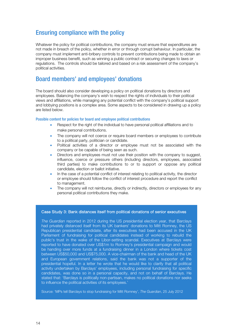## Ensuring compliance with the policy

Whatever the policy for political contributions, the company must ensure that expenditures are not made in breach of the policy, whether in error or through corrupt behaviour. In particular, the company must implement anti-bribery controls to prevent contributions being made to obtain an improper business benefit, such as winning a public contract or securing changes to laws or regulations. The controls should be tailored and based on a risk assessment of the company's political activities.

## Board members' and employees' donations

The board should also consider developing a policy on political donations by directors and employees. Balancing the company's wish to respect the rights of individuals to their political views and affiliations, while managing any potential conflict with the company's political support and lobbying positions is a complex area. Some aspects to be considered in drawing up a policy are listed below.

#### Possible content for policies for board and employee political contributions

- Respect for the right of the individual to have personal political affiliations and to make personal contributions.
- The company will not coerce or require board members or employees to contribute to a political party, politician or candidate.
- Political activities of a director or employee must not be associated with the company or be capable of being seen as such.
- Directors and employees must not use their position with the company to suggest, influence, coerce or pressure others (including directors, employees, associated third parties) to make contributions to or to support or oppose any political candidate, election or ballot initiative.
- In the case of a potential conflict of interest relating to political activity, the director or employee should follow the conflict of interest procedure and report the conflict to management.
- The company will not reimburse, directly or indirectly, directors or employees for any personal political contributions they make.

#### Case Study 3: Bank distances itself from political donations of senior executives

The Guardian reported in 2012 during the US presidential election year, that Barclays had privately distanced itself from its UK bankers' donations to Mitt Romney, the US Republican presidential candidate, after its executives had been accused in the UK Parliament of fundraising for political candidates instead of working to rebuild the public's trust in the wake of the Libor-setting scandal. Executives at Barclays were reported to have donated over US\$1m to Romney's presidential campaign and would be handing over more funds at a fundraising dinner in a London where tickets cost between US\$50,000 and US\$75,000. A vice-chairman of the bank and head of the UK and European government relations, said the bank was not a supporter of the presidential hopeful. In a letter he wrote that he would like to clarify that all political activity undertaken by Barclays' employees, including personal fundraising for specific candidates, was done so in a personal capacity, and not on behalf of Barclays. He stated that: 'Barclays is politically non-partisan, makes no political donations nor seeks to influence the political activities of its employees.'

Source: 'MPs tell Barclays to stop fundraising for Mitt Romney', The Guardian, 25 July 2012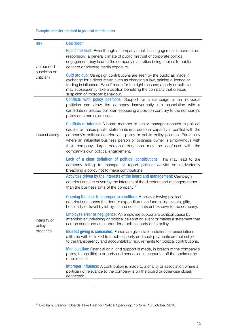### Examples of risks attached to political contributions

| <b>Risk</b>                            | <b>Description</b>                                                                                                                                                                                                                                                                                                                                                                                                                               |
|----------------------------------------|--------------------------------------------------------------------------------------------------------------------------------------------------------------------------------------------------------------------------------------------------------------------------------------------------------------------------------------------------------------------------------------------------------------------------------------------------|
| Unfounded<br>suspicion or<br>criticism | <b>Public mistrust:</b> Even though a company's political engagement is conducted<br>responsibly, a general climate of public mistrust of corporate political<br>engagement may lead to the company's activities being subject to public<br>concern or adverse media exposure.<br><b>Quid pro quo:</b> Campaign contributions are seen by the public as made in                                                                                  |
|                                        | exchange for a direct return such as changing a law, gaining a licence or<br>trading in influence. Even if made for the right reasons, a party or politician<br>may subsequently take a position benefiting the company that creates<br>suspicion of improper behaviour.                                                                                                                                                                         |
|                                        | Conflicts with policy positions: Support for a campaign or an individual<br>politician can draw the company inadvertently into association with a<br>candidate or elected politician espousing a position contrary to the company's<br>policy on a particular issue.                                                                                                                                                                             |
| Inconsistency                          | <b>Conflicts of interest:</b> A board member or senior manager donates to political<br>causes or makes public statements in a personal capacity in conflict with the<br>company's political contributions policy or public policy position. Particularly<br>where an influential business person or business owner is synonymous with<br>their company, large personal donations may be confused with the<br>company's own political engagement. |
|                                        | Lack of a clear definition of political contributions: This may lead to the<br>company failing to manage or report political activity or inadvertently<br>breaching a policy not to make contributions.                                                                                                                                                                                                                                          |
|                                        | Activities driven by the interests of the board and management: Campaign<br>contributions are driven by the interests of the directors and managers rather<br>than the business aims of the company. <sup>11</sup>                                                                                                                                                                                                                               |
|                                        | <b>Opening the door to improper expenditure:</b> A policy allowing political<br>contributions opens the door to expenditures on fundraising events, gifts,<br>hospitality or travel by lobbyists and consultants unbeknown to the company.                                                                                                                                                                                                       |
| Integrity or<br>policy                 | <b>Employee error or negligence:</b> An employee supports a political cause by<br>attending a fundraising or political celebration event or makes a statement that<br>can be construed as support for a political party or its policy.                                                                                                                                                                                                           |
| breaches                               | <b>Indirect giving is concealed:</b> Funds are given to foundations or associations<br>affiliated with or linked to a political party and such payments are not subject<br>to the transparency and accountability requirements for political contributions.                                                                                                                                                                                      |
|                                        | <b>Manipulation:</b> Financial or in kind support is made, in breach of the company's<br>policy, to a politician or party and concealed in accounts, off the books or by<br>other means.                                                                                                                                                                                                                                                         |
|                                        | <b>Improper influence:</b> A contribution is made to a charity or association where a<br>politician of relevance to the company is on the board or otherwise closely<br>connected.                                                                                                                                                                                                                                                               |

<span id="page-16-0"></span><sup>11</sup> Bloxham, Eleanor, 'Boards Take Heat for Political Spending', Fortune, 18 October, 2010.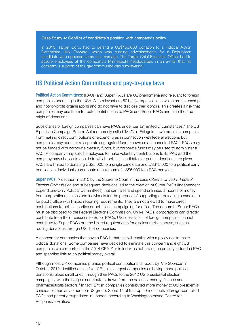#### Case Study 4: Conflict of candidate's position with company's policy

In 2010, Target Corp. had to defend a US\$150,000 donation to a Political Action Committee, MN Forward, which was running advertisements for a Republican candidate who opposed same-sex marriage. The Target Chief Executive Officer had to assure employees at the company's Minneapolis headquarters in an e-mail that his company's support of the gay community was 'unwavering'.

### US Political Action Committees and pay-to-play laws

Political Action Committees: (PACs) and Super PACs are US phenomena and relevant to foreign companies operating in the USA. Also relevant are 501(c) (4) organisations which are tax-exempt and not-for-profit organisations and do not have to disclose their donors. This creates a risk that companies may use them to route contributions to PACs and Super PACs and hide the true origin of donations.

Subsidiaries of foreign companies can have PACs under certain limited circumstances.1 The US Bipartisan Campaign Reform Act (commonly called 'McCain-Feingold Law') prohibits companies from making direct contributions or expenditures in connection with federal elections but companies may sponsor a 'separate segregated fund' known as a 'connected PAC'. PACs may not be funded with corporate treasury funds, but corporate funds may be used to administer a PAC. A company may solicit employees to make voluntary contributions to its PAC and the company may choose to decide to which political candidates or parties donations are given. PACs are limited to donating US\$5,000 to a single candidate and US\$15,000 to a political party per election. Individuals can donate a maximum of US\$5,000 to a PAC per year.

Super PACs: A decision in 2010 by the Supreme Court in the case Citizens United v. Federal Election Commission and subsequent decisions led to the creation of Super PACs (Independent Expenditure-Only Political Committees) that can raise and spend unlimited amounts of money from corporations, unions and individuals for the purpose of supporting or defeating a candidate for public office with limited reporting requirements. They are not allowed to make direct contributions to political parties or politicians campaigning for office. The donors to Super PACs must be disclosed to the Federal Elections Commission. Unlike PACs, corporations can directly contribute from their treasuries to Super PACs. US subsidiaries of foreign companies cannot contribute to Super PACs but the limited requirements for disclosure risks abuse, such as routing donations through US shell companies.

A concern for companies that have a PAC is that this will conflict with a policy not to make political donations. Some companies have decided to eliminate this concern and eight US companies were reported in the 2014 CPA-Zicklin Index as not having an employee-funded PAC and spending little to no political money overall.

Although most UK companies prohibit political contributions, a report by The Guardian in October 2012 identified one in five of Britain's largest companies as having made political donations, albeit small ones, through their PACs to the 2012 US presidential election campaigns, with the biggest contributors drawn from the defence, energy, finance and pharmaceuticals sectors.1 In fact, British companies contributed more money to US presidential candidates than any other non-US group. Some 14 of the top 50 most active foreign-controlled PACs had parent groups listed in London, according to Washington based Centre for Responsive Politics.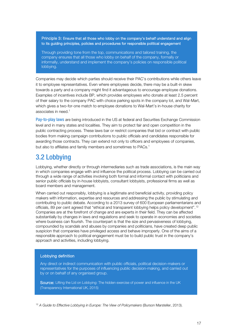Principle 3: Ensure that all those who lobby on the company's behalf understand and align to its guiding principles, policies and procedures for responsible political engagement

Through providing tone from the top, communications and tailored training, the company ensures that all those who lobby on behalf of the company, formally or informally, understand and implement the company's policies on responsible political lobbying.

Companies may decide which parties should receive their PAC's contributions while others leave it to employee representatives. Even where employees decide, there may be a built-in skew towards a party and a company might find it advantageous to encourage employee donations. Examples of incentives include BP, which provides employees who donate at least 2.5 percent of their salary to the company PAC with choice parking spots in the company lot, and Wal-Mart, which gives a two-for-one match to employee donations to Wal-Mart's in-house charity for associates in need.<sup>1</sup>

Pay-to-play laws are being introduced in the US at federal and Securities Exchange Commission level and in many states and localities. They aim to protect fair and open competition in the public contracting process. These laws bar or restrict companies that bid or contract with public bodies from making campaign contributions to public officials and candidates responsible for awarding those contracts. They can extend not only to officers and employees of companies, but also to affiliates and family members and sometimes to PACs.<sup>1</sup>

# 3.2 Lobbying

Lobbying, whether directly or through intermediaries such as trade associations, is the main way in which companies engage with and influence the political process. Lobbying can be carried out through a wide range of activities involving both formal and informal contact with politicians and senior public officials by in-house lobbyists, consultant lobbyists, professional firms as well as board members and management.

When carried out responsibly, lobbying is a legitimate and beneficial activity, providing policy makers with information, expertise and resources and addressing the public by stimulating and contributing to public debate. According to a 2013 survey of 600 European parliamentarians and officials, 89 per cent agreed that "ethical and transparent lobbying helps policy development".[12](#page-18-0) Companies are at the forefront of change and are experts in their field. They can be affected substantially by changes in laws and regulations and seek to operate in economies and societies where business can flourish. The counterpart is that the size and pervasiveness of lobbying, compounded by scandals and abuses by companies and politicians, have created deep public suspicion that companies have privileged access and behave improperly. One of the aims of a responsible approach to political engagement must be to build public trust in the company's approach and activities, including lobbying.

#### Lobbying definition

Any direct or indirect communication with public officials, political decision-makers or representatives for the purposes of influencing public decision-making, and carried out by or on behalf of any organised group.

Source: Lifting the Lid on Lobbying: The hidden exercise of power and influence in the UK (Transparency International UK, 2015)

<span id="page-18-0"></span><sup>12</sup> A Guide to Effective Lobbying in Europe: The View of Policymakers (Burson Marsteller, 2013).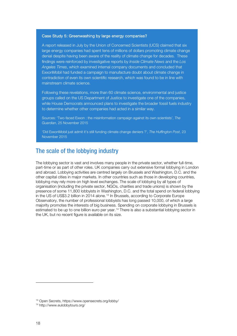#### Case Study 5: Greenwashing by large energy companies?

A report released in July by the Union of Concerned Scientists (UCS) claimed that six large energy companies had spent tens of millions of dollars promoting climate change denial despite having been aware of the reality of climate change for decades. These findings were reinforced by investigative reports by Inside Climate News and the Los Angeles Times, which examined internal company documents and concluded that ExxonMobil had funded a campaign to manufacture doubt about climate change in contradiction of even its own scientific research, which was found to be in line with mainstream climate science.

Following these revelations, more than 60 climate science, environmental and justice groups called on the US Department of Justice to investigate one of the companies, while House Democrats announced plans to investigate the broader fossil fuels industry to determine whether other companies had acted in a similar way.

Sources: 'Two-faced Exxon : the misinformation campaign against its own scientists', The Guardian, 25 November 2015

'Did ExxonMobil just admit it's still funding climate change deniers ?', The Huffington Post, 23 November 2015

## The scale of the lobbying industry

The lobbying sector is vast and involves many people in the private sector, whether full-time, part-time or as part of other roles. UK companies carry out extensive formal lobbying in London and abroad. Lobbying activities are centred largely on Brussels and Washington, D.C. and the other capital cities in major markets. In other countries such as those in developing countries, lobbying may rely more on high level exchanges. The scale of lobbying by all types of organisation (including the private sector, NGOs, charities and trade unions) is shown by the presence of some 11,800 lobbyists in Washington, D.C. and the total spend on federal lobbying in the US of US\$3.2 billion in 2014 alone.<sup>[13](#page-19-0)</sup> In Brussels, according to Corporate Europe Observatory, the number of professional lobbyists has long passed 10,000, of which a large majority promotes the interests of big business. Spending on corporate lobbying in Brussels is estimated to be up to one billion euro per year.<sup>[14](#page-19-1)</sup> There is also a substantial lobbying sector in the UK, but no recent figure is available on its size.

<span id="page-19-0"></span><sup>13</sup> Open Secrets, https://www.opensecrets.org/lobby/

<span id="page-19-1"></span><sup>14</sup> http://www.eulobbytours.org/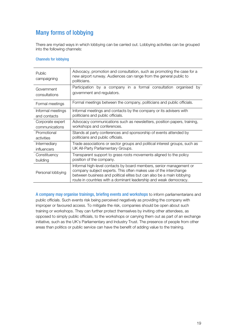# Many forms of lobbying

There are myriad ways in which lobbying can be carried out. Lobbying activities can be grouped into the following channels:

#### Channels for lobbying

| Public<br>campaigning | Advocacy, promotion and consultation, such as promoting the case for a<br>new airport runway. Audiences can range from the general public to<br>politicians.                                                                                                                          |  |  |  |  |  |
|-----------------------|---------------------------------------------------------------------------------------------------------------------------------------------------------------------------------------------------------------------------------------------------------------------------------------|--|--|--|--|--|
| Government            | Participation by a company in a formal consultation organised by                                                                                                                                                                                                                      |  |  |  |  |  |
| consultations         | government and regulators.                                                                                                                                                                                                                                                            |  |  |  |  |  |
| Formal meetings       | Formal meetings between the company, politicians and public officials.                                                                                                                                                                                                                |  |  |  |  |  |
| Informal meetings     | Informal meetings and contacts by the company or its advisers with                                                                                                                                                                                                                    |  |  |  |  |  |
| and contacts          | politicians and public officials.                                                                                                                                                                                                                                                     |  |  |  |  |  |
| Corporate expert      | Advocacy communications such as newsletters, position papers, training,                                                                                                                                                                                                               |  |  |  |  |  |
| communications        | workshops and conferences.                                                                                                                                                                                                                                                            |  |  |  |  |  |
| Promotional           | Stands at party conferences and sponsorship of events attended by                                                                                                                                                                                                                     |  |  |  |  |  |
| activities            | politicians and public officials.                                                                                                                                                                                                                                                     |  |  |  |  |  |
| Intermediary          | Trade associations or sector groups and political interest groups, such as                                                                                                                                                                                                            |  |  |  |  |  |
| influencers           | UK All-Party Parliamentary Groups.                                                                                                                                                                                                                                                    |  |  |  |  |  |
| Constituency          | Transparent support to grass roots movements aligned to the policy                                                                                                                                                                                                                    |  |  |  |  |  |
| building              | position of the company.                                                                                                                                                                                                                                                              |  |  |  |  |  |
| Personal lobbying     | Informal high-level contacts by board members, senior management or<br>company subject experts. This often makes use of the interchange<br>between business and political elites but can also be a main lobbying<br>route in countries with a dominant leadership and weak democracy. |  |  |  |  |  |

A company may organise trainings, briefing events and workshops to inform parliamentarians and public officials. Such events risk being perceived negatively as providing the company with improper or favoured access. To mitigate the risk, companies should be open about such training or workshops. They can further protect themselves by inviting other attendees, as opposed to simply public officials, to the workshops or carrying them out as part of an exchange initiative, such as the UK's Parliamentary and Industry Trust. The presence of people from other areas than politics or public service can have the benefit of adding value to the training.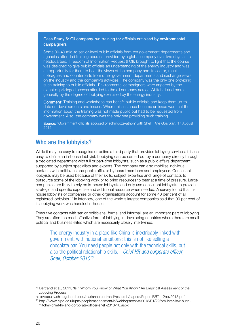#### Case Study 6: Oil company-run training for officials criticised by environmental campaigners

Some 30-40 mid-to senior-level public officials from ten government departments and agencies attended training courses provided by a global company over two days at its headquarters. Freedom of Information Request (FOI), brought to light that the course was designed to give public officials an understanding of the energy industry and was an opportunity for them to hear the views of the company and its sector, meet colleagues and counterparts from other government departments and exchange views on the industry and the company's activities. The company was the only one providing such training to public officials. Environmental campaigners were angered by the extent of privileged access afforded to the oil company across Whitehall and more generally by the degree of lobbying exercised by the energy industry.

Comment: Training and workshops can benefit public officials and keep them up-todate on developments and issues. Where this instance became an issue was that the information about the training was not made public but had to be requested from government. Also, the company was the only one providing such training.

Source: 'Government officials accused of schmooze-athon' with Shell', The Guardian, 17 August 2012

## Who are the lobbyists?

While it may be easy to recognise or define a third party that provides lobbying services, it is less easy to define an in-house lobbyist. Lobbying can be carried out by a company directly through a dedicated department with full or part-time lobbyists, such as a public affairs department supported by subject specialists and experts. The company can also mobilise individual contacts with politicians and public officials by board members and employees. Consultant lobbyists may be used because of their skills, subject expertise and range of contacts to outsource some of the lobbying work or to bring resources to bear at a time of pressure. Large companies are likely to rely on in-house lobbyists and only use consultant lobbyists to provide strategic and specific expertise and additional resource when needed. A survey found that inhouse lobbyists of companies or other organisations account for some 40 per cent of all registered lobbyists.[15](#page-21-0) In interview, one of the world's largest companies said that 90 per cent of its lobbying work was handled in-house.

Executive contacts with senior politicians, formal and informal, are an important part of lobbying. They are often the most effective form of lobbying in developing countries where there are small political and business elites which are necessarily closely intertwined.

The energy industry in a place like China is inextricably linked with government, with national ambitions; this is not like selling a chocolate bar. You need people not only with the technical skills, but also the political relationship skills. - Chief HR and corporate officer, Shell, October 2010<sup>[16](#page-21-1)</sup>

<span id="page-21-0"></span><sup>&</sup>lt;sup>15</sup> Bertrand et al., 2011, 'Is It Whom You Know or What You Know? An Empirical Assessment of the Lobbying Process'

<span id="page-21-1"></span>http://faculty.chicagobooth.edu/marianne.bertrand/research/papers/Paper\_BBT\_12nov2013.pdf <sup>16</sup> http://www.cipd.co.uk/pm/peoplemanagement/b/weblog/archive/2013/01/29/pm-interview-hugh-

mitchell-chief-hr-and-corporate-officer-shell-2010-10.aspx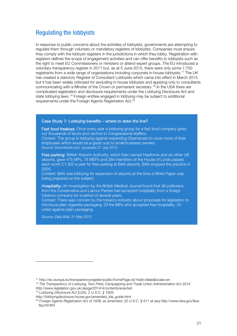## Regulating the lobbyists

In response to public concerns about the activities of lobbyists, governments are attempting to regulate them through voluntary or mandatory registers of lobbyists. Companies must ensure they comply with the lobbyist registers in the jurisdictions in which they lobby. Registration with registers defines the scope of engagement activities and can offer benefits to lobbyists such as the right to meet EU Commissioners or ministers or attend expert groups. The EU introduced a voluntary transparency register in 2011 but, as at 5 June 2015, there were only some 7,700 registrants from a wide range of organisations including corporate in-house lobbyists.[17](#page-22-0) The UK has created a statutory Register of Consultant Lobbyists which came into effect in March 2015 but it has been widely criticised for excluding in-house lobbyists and applying only to consultants communicating with a Minster of the Crown or permanent secretary.<sup>[18](#page-22-1)</sup> In the USA there are complicated registration and disclosure requirements under the Lobbying Disclosure Act and state lobbying laws.<sup>[19](#page-22-2)</sup> Foreign entities engaged in lobbying may be subject to additional requirements under the Foreign Agents Registration Act.[20](#page-22-3)

#### Case Study 7: Lobbying benefits – where to draw the line?

Fast food freebies: Once every year a lobbying group for a fast food company gives out thousands of tacos and nachos to Congressional staffers. Context: The group is lobbying against expanding Obamacare to cover more of their employees which would be a great cost to small-business owners. Source: Downtrend.com, accessed 27 July 2015

Free parking: British Airports Authority, which then owned Heathrow and six other UK airports, gave 475 MPs, 78 MEPs and 284 members of the House of Lords passes each worth £1,300 a year for free parking at BAA airports. BAA stopped the practice in 2004.

Context: BAA was lobbying for expansion of airports at the time a White Paper was being prepared on the subject.

Hospitality: An investigation by the British Medical Journal found that 38 politicians from the Conservative and Labour Parties had accepted hospitality from a foreign tobacco company for a period of several years.

Context: There was concern by the tobacco industry about proposals for legislation to introduce plain cigarette packaging. Of the MPs who accepted free hospitality, 20 voted against plain packaging.

Source: [Daily](http://www.dailymail.co.uk/news/article-3090127/38-MPs-enjoy-freebies-worth-60-000-tobacco-giant-Politicians-attended-sporting-entertainment-events-time-company-battling-plans-plain-packaging.html#ixzz3gBEvhrhD) Mail, 21 May 2015

<span id="page-22-0"></span><sup>17</sup> http://ec.europa.eu/transparencyregister/public/homePage.do?redir=false&locale=en

<span id="page-22-1"></span><sup>&</sup>lt;sup>18</sup> The Transparency of Lobbying, Non-Party Campaigning and Trade Union Administration Act 2014 http://www.legislation.gov.uk/ukpga/2014/4/contents/enacted

<sup>19</sup> Lobbying Disclosure Act (LDA), 2 U.S.C. § 1605,

<span id="page-22-2"></span>http://lobbyingdisclosure.house.gov/amended\_lda\_guide.html

<span id="page-22-3"></span><sup>20</sup> Foreign Agents Registration Act of 1938, as amended, 22 U.S.C. § 611 et seq http://www.fara.gov/farafaq.html#3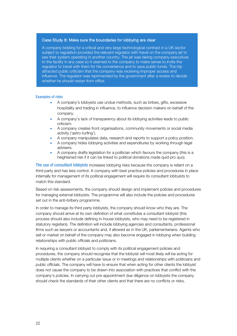#### Case Study 8: Make sure the boundaries for lobbying are clear

A company bidding for a critical and very large technological contract in a UK sector subject to regulation provided the relevant regulator with travel on the company jet to see their system operating in another country. The jet was taking company executives to the facility in any case so it seemed to the company to make sense to invite the regulator to travel with them for his convenience and to save public funds. The trip attracted public criticism that the company was receiving improper access and influence. The regulator was reprimanded by the government after a review to decide whether he should resign from office.

#### Examples of risks

- A company's lobbyists use undue methods, such as bribes, gifts, excessive hospitality and trading in influence, to influence decision makers on behalf of the company.
- A company's lack of transparency about its lobbying activities leads to public criticism.
- A company creates front organisations, community movements or social media activity ('astro-turfing').
- A company manipulates data, research and reports to support a policy position.
- A company hides lobbying activities and expenditures by working through legal advisers.
- A company drafts legislation for a politician which favours the company (this is a heightened risk if it can be linked to political donations made quid pro quo).

The use of consultant lobbyists increases lobbying risks because the company is reliant on a third party and has less control. A company with best practice policies and procedures in place internally for management of its political engagement will require its consultant lobbyists to match this standard.

Based on risk assessments, the company should design and implement policies and procedures for managing external lobbyists. The programme will also include the policies and procedures set out in the anti-bribery programme.

In order to manage its third party lobbyists, the company should know who they are. The company should arrive at its own definition of what constitutes a consultant lobbyist (this process should also include defining in-house lobbyists, who may need to be registered in statutory registers). The definition will include lobbying agencies and consultants, professional firms such as lawyers or accountants and, if allowed as in the UK, parliamentarians. Agents who sell or market on behalf of the company may also become engaged in lobbying when building relationships with public officials and politicians.

In requiring a consultant lobbyist to comply with its political engagement policies and procedures, the company should recognise that the lobbyist will most likely will be acting for multiple clients whether on a particular issue or in meetings and relationships with politicians and public officials. The company will have to ensure that when acting for other clients the lobbyist does not cause the company to be drawn into association with practices that conflict with the company's policies. In carrying out pre-appointment due diligence on lobbyists the company should check the standards of their other clients and that there are no conflicts or risks.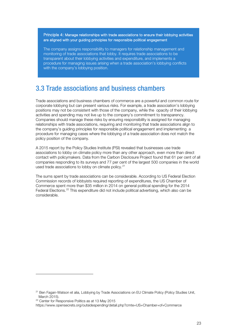Principle 4: Manage relationships with trade associations to ensure their lobbying activities are aligned with your guiding principles for responsible political engagement

The company assigns responsibility to managers for relationship management and monitoring of trade associations that lobby. It requires trade associations to be transparent about their lobbying activities and expenditure, and implements a procedure for managing issues arising when a trade association's lobbying conflicts with the company's lobbying position.

# 3.3 Trade associations and business chambers

Trade associations and business chambers of commerce are a powerful and common route for corporate lobbying but can present various risks. For example, a trade association's lobbying positions may not be consistent with those of the company, while the opacity of their lobbying activities and spending may not live up to the company's commitment to transparency. Companies should manage these risks by ensuring responsibility is assigned for managing relationships with trade associations, requiring and monitoring that trade associations align to the company's guiding principles for responsible political engagement and implementing a procedure for managing cases where the lobbying of a trade association does not match the policy position of the company.

A 2015 report by the Policy Studies Institute (PSI) revealed that businesses use trade associations to lobby on climate policy more than any other approach, even more than direct contact with policymakers. Data from the Carbon Disclosure Project found that 61 per cent of all companies responding to its surveys and 77 per cent of the largest 500 companies in the world used trade associations to lobby on climate policy.<sup>[21](#page-24-0)</sup>

The sums spent by trade associations can be considerable. According to US Federal Election Commission records of lobbyists required reporting of expenditures, the US Chamber of Commerce spent more than \$35 million in 2014 on general political spending for the 2014 Federal Elections.<sup>[22](#page-24-1)</sup> This expenditure did not include political advertising, which also can be considerable.

<span id="page-24-0"></span><sup>&</sup>lt;sup>21</sup> Ben Fagan-Watson et alia, Lobbying by Trade Associations on EU Climate Policy (Policy Studies Unit, March 2015).

<span id="page-24-1"></span><sup>&</sup>lt;sup>22</sup> Center for Responsive Politics as at 13 May 2015

https://www.opensecrets.org/outsidespending/detail.php?cmte=US+Chamber+of+Commerce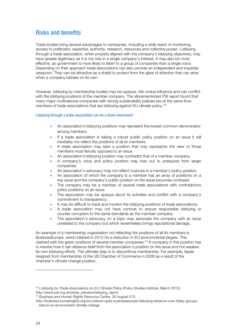# Risks and benefits

Trade bodies bring several advantages to companies, including a wide reach of monitoring, access to politicians, expertise, authority, research, resources and collective power. Lobbying through a trade association, when properly aligned with the company's lobbying objectives, may have greater legitimacy as it is not only in a single company's interest. It may also be more effective, as government is more likely to listen to a group of companies than a single voice. Depending on their approach trade associations can also provide an independent and impartial viewpoint. They can be attractive as a shield to protect from the glare of attention that can arise when a company lobbies on its own.

However, lobbying by membership bodies may be opaque, risk undue influence and can conflict with the lobbying positions of the member company. The aforementioned PSI report found that many major multinational companies with strong sustainability policies are at the same time members of trade associations that are lobbying against EU climate policy.<sup>[23](#page-25-0)</sup>

#### Lobbying through a trade association can be a blunt instrument

- An association's lobbying positions may represent the lowest common denominator among members.
- If a trade association is taking a robust public policy position on an issue it will inevitably not reflect the positions of all its members.
- A trade association may take a position that only represents the view of those members most fiercely opposed to an issue.
- An association's lobbying position may contradict that of a member company.
- A company's voice and policy position may lose out to pressures from larger companies.
- An association's advocacy may not reflect nuances in a member's policy position.
- An association of which the company is a member has an array of positions on a key issue and the company's public position on the issue becomes confused.
- The company may be a member of several trade associations with contradictory policy positions on an issue.
- The association may be opaque about its activities and conflict with a company's commitment to transparency.
- It may be difficult to track and monitor the lobbying positions of trade associations.
- A trade association may not have controls to ensure responsible lobbying or counter corruption to the same standards as the member company.
- The association's advocacy on a topic may associate the company with an issue unrelated to the company but which nevertheless brings reputational damage.

An example of a membership organisation not reflecting the positions of all its members is BusinessEurope, which lobbied in 2012 for a reduction in EU environmental targets. This clashed with the green positions of several member companies.<sup>[24](#page-25-1)</sup> A company in this position has to resolve how it can distance itself from the association's position on the issue and not weaken its own lobbying efforts. The ultimate step is to discontinue membership. For example, Apple resigned from membership of the US Chamber of Commerce in 2009 as a result of the chamber's climate change position.

<span id="page-25-0"></span><sup>&</sup>lt;sup>23</sup> Lobbying by Trade Associations on EU Climate Policy (Policy Studies Institute, March 2015). http://www.psi.org.uk/press\_preview/lobbying\_report

<span id="page-25-1"></span><sup>&</sup>lt;sup>24</sup> Business and Human Rights Resource Centre, 26 August 013.

http://business-humanrights.org/en/unilever-quits-businesseurope-following-tensions-over-lobby-groupsstance-on-environment-climate-change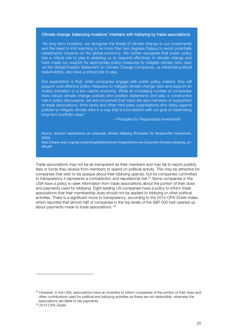#### Climate change: balancing investors' interests with lobbying by trade associations

"As long-term investors, we recognise the threat of climate change to our investments and the need to limit warming to no more than two degrees Celsius to avoid potentially catastrophic impacts on the global economy. We further recognise that public policy has a critical role to play in enabling us to respond effectively to climate change and have made our support for appropriate policy measures to mitigate climate risks clear via the Global Investor Statement on Climate Change Companies, as influential political stakeholders, also have a critical role to play.

Our expectation is that, when companies engage with public policy makers, they will support cost-effective policy measures to mitigate climate change risks and support an orderly transition to a low carbon economy. While an increasing number of companies have robust climate change policies and position statements and play a constructive role in policy discussions, we are concerned that many are also members or supporters of trade associations, think tanks and other third party organisations who lobby against policies to mitigate climate risks in a way that is inconsistent with our goal of maximising long-term portfolio value."

– Principles for Responsible Investment

#### Source: *Investor expectations on corporate climate lobbying* (Principles for Responsible Investment, 2015)

[http://www.unpri.org/wp-content/uploads/Investor-Expectations-on-Corporate-Climate-Lobbying\\_en-](http://www.unpri.org/wp-content/uploads/Investor-Expectations-on-Corporate-Climate-Lobbying_en-GB.pdf)[GB.pdf](http://www.unpri.org/wp-content/uploads/Investor-Expectations-on-Corporate-Climate-Lobbying_en-GB.pdf) 

Trade associations may not be as transparent as their members and may fail to report publicly fees or funds they receive from members to spend on political activity. This may be attractive for companies that wish to be opaque about their lobbying spends, but for companies committed to transparency it represents a contradiction and reputational risk.<sup>[25](#page-26-0)</sup> Some companies in the USA have a policy to seek information from trade associations about the portion of their dues and payments used for lobbying. Eight leading US companies have a policy to inform trade associations that their membership dues should not be applied to lobbying or other political activities. There is a significant move to transparency, according to the 2014 CPA-Zicklin Index, which reported that almost half of companies in the top levels of the S&P 500 had opened up about payments made to trade associations. [26](#page-26-1)

<span id="page-26-0"></span><sup>&</sup>lt;sup>25</sup> However, in the USA, associations have an incentive to inform companies of the portion of their dues and other contributions used for political and lobbying activities as these are not deductible, otherwise the associations are liable to tax payments.

<span id="page-26-1"></span><sup>26</sup> 2014 CPA-Zicklin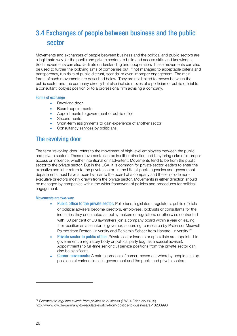# 3.4 Exchanges of people between business and the public sector

Movements and exchanges of people between business and the political and public sectors are a legitimate way for the public and private sectors to build and access skills and knowledge. Such movements can also facilitate understanding and cooperation. These movements can also be used to further the lobbying aims of companies but, if not managed to acceptable criteria and transparency, run risks of public distrust, scandal or even improper engagement. The main forms of such movements are described below. They are not limited to moves between the public sector and the company directly but also include moves of a politician or public official to a consultant lobbyist position or to a professional firm advising a company.

#### Forms of exchange

- Revolving door
- Board appointments
- Appointments to government or public office
- Secondments
- Short-term assignments to gain experience of another sector
- Consultancy services by politicians

## The revolving door

The term 'revolving door' refers to the movement of high-level employees between the public and private sectors. These movements can be in either direction and they bring risks of improper access or influence, whether intentional or inadvertent. Movements tend to be from the public sector to the private sector. But in the USA, it is common for private sector leaders to enter the executive and later return to the private sector. In the UK, all public agencies and government departments must have a board similar to the board of a company and these include nonexecutive directors mostly drawn from the private sector. Movements in either direction should be managed by companies within the wider framework of policies and procedures for political engagement.

#### Movements are two-way

- Public office to the private sector: Politicians, legislators, regulators, public officials or political advisers become directors, employees, lobbyists or consultants for the industries they once acted as policy makers or regulators, or otherwise contracted with. 60 per cent of US lawmakers join a company board within a year of leaving their position as a senator or governor, according to research by Professor Maxwell Palmer from Boston University and Benjamin Scheer from Harvard University.<sup>[27](#page-27-0)</sup>
- **Private sector to public office:** Private sector leaders or specialists are appointed to government, a regulatory body or political party (e.g. as a special adviser). Appointments to full-time senior civil service positions from the private sector can also be significant.
- **Career movements:** A natural process of career movement whereby people take up positions at various times in government and the public and private sectors.

<span id="page-27-0"></span><sup>&</sup>lt;sup>27</sup> Germany to regulate switch from politics to business (DW, 4 February 2015). http://www.dw.de/germany-to-regulate-switch-from-politics-to-business/a-18233998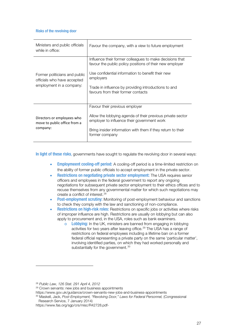#### Risks of the revolving door

| Ministers and public officials<br>while in office:                                       | Favour the company, with a view to future employment                                                                                                                                                                                                                                 |
|------------------------------------------------------------------------------------------|--------------------------------------------------------------------------------------------------------------------------------------------------------------------------------------------------------------------------------------------------------------------------------------|
| Former politicians and public<br>officials who have accepted<br>employment in a company: | Influence their former colleagues to make decisions that<br>favour the public policy positions of their new employer<br>Use confidential information to benefit their new<br>employers<br>Trade in influence by providing introductions to and<br>favours from their former contacts |
| Directors or employees who<br>move to public office from a<br>company:                   | Favour their previous employer<br>Allow the lobbying agenda of their previous private sector<br>employer to influence their government work<br>Bring insider information with them if they return to their<br>former company                                                         |

In light of these risks, governments have sought to regulate the revolving door in several ways:

- **Employmeent cooling-off period:** A cooling-off period is a time-limited restriction on the ability of former public officials to accept employment in the private sector.
- **Restrictions on negotiating private sector employment:** The USA requires senior officers and employees in the federal government to report any ongoing negotiations for subsequent private sector employment to their ethics offices and to recuse themselves from any governmental matter for which such negotiations may create a conflict of interest.<sup>[28](#page-28-0)</sup>
- Post-employment scrutiny: Monitoring of post-employment behaviour and sanctions to check they comply with the law and sanctioning of non-compliance.
- **Restrictions on high-risk roles:** Restrictions on specific jobs or activities where risks of improper influence are high. Restrictions are usually on lobbying but can also apply to procurement and, in the USA, roles such as bank examiners.
	- $\circ$  Lobbying: In the UK, ministers are banned from engaging in lobbying activities for two years after leaving office.<sup>[29](#page-28-1)</sup> The USA has a range of restrictions on federal employees including a lifetime ban on a former federal official representing a private party on the same 'particular matter', involving identified parties, on which they had worked personally and substantially for the government.<sup>[30](#page-28-2)</sup>

<span id="page-28-0"></span><sup>28</sup> Public Law, 126 Stat. 291 April 4, 2012

<sup>&</sup>lt;sup>29</sup> Crown servants: new jobs and business appointments

<span id="page-28-2"></span><span id="page-28-1"></span>https://www.gov.uk/guidance/crown-servants-new-jobs-and-business-appointments

<sup>&</sup>lt;sup>30</sup> Maskell, Jack, Post-Employment, "Revolving Door," Laws for Federal Personnel, (Congressional Research Service, 7 January 2014)

https://www.fas.org/sgp/crs/misc/R42728.pdf-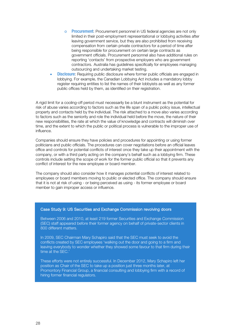- o Procurement: Procurement personnel in US federal agencies are not only limited in their post-employment representational or lobbying activities after leaving government service, but they are also prohibited from receiving compensation from certain private contractors for a period of time after being responsible for procurement on certain large contracts as government officials. Procurement personnel also have additional rules on reporting 'contacts' from prospective employers who are government contractors. Australia has guidelines specifically for employees managing outsourcing and undertaking market testing.
- **Disclosure:** Requiring public disclosure where former public officials are engaged in lobbying. For example, the Canadian Lobbying Act includes a mandatory lobby register requiring entities to list the names of their lobbyists as well as any former public offices held by them, as identified on their registration.

A rigid limit for a cooling-off period must necessarily be a blunt instrument as the potential for risk of abuse varies according to factors such as the life span of a public policy issue, intellectual property and contacts held by the individual. The risk attached to a move also varies according to factors such as the seniority and role the individual held before the move, the nature of their new responsibilities, the rate at which the value of knowledge and contracts will diminish over time, and the extent to which the public or political process is vulnerable to the improper use of influence.

Companies should ensure they have policies and procedures for appointing or using former politicians and public officials. The procedures can cover negotiations before an official leaves office and controls for potential conflicts of interest once they take up their appointment with the company, or with a third party acting on the company's behalf such as a lobbying firm. These controls include setting the scope of work for the former public official so that it prevents any conflict of interest for the new employee or board member.

The company should also consider how it manages potential conflicts of interest related to employees or board members moving to public or elected office. The company should ensure that it is not at risk of using - or being perceived as using - its former employee or board member to gain improper access or influence.

#### Case Study 9: US Securities and Exchange Commission revolving doors

Between 2006 and 2010, at least 219 former Securities and Exchange Commission (SEC) staff appeared before their former agency on behalf of private-sector clients in 800 different matters.

In 2009, SEC Chairman Mary Schapiro said that the SEC must seek to avoid the conflicts created by SEC employees 'walking out the door and going to a firm and leaving everybody to wonder whether they showed some favour to that firm during their time at the SEC.'

These efforts were not entirely successful. In December 2012, Mary Schapiro left her position as Chair of the SEC to take up a position just three months later, at Promontory Financial Group, a financial consulting and lobbying firm with a record of hiring former financial regulators.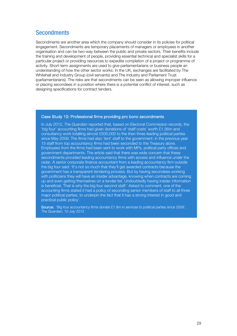## **Secondments**

Secondments are another area which the company should consider in its policies for political engagement. Secondments are temporary placements of managers or employees in another organisation and can be two-way between the public and private sectors. Their benefits include the training and development of people, providing essential technical and specialist skills for a particular project or providing resources to expedite completion of a project or programme of activity. Short-term assignments are used to give parliamentarians or business people an understanding of how the other sector works. In the UK, exchanges are facilitated by The Whitehall and Industry Group (civil servants) and The Industry and Parliament Trust (parliamentarians). The risks are that secondments can be seen as allowing improper influence or placing secondees in a position where there is a potential conflict of interest, such as designing specifications for contract tenders.

#### Case Study 10: Professional firms providing pro bono secondments

In July 2012, The Guardian reported that, based on Electoral Commission records, the 'big four' accounting firms had given donations of 'staff costs' worth £1.36m and consultancy work totalling almost £500,000 to the then three leading political parties since May 2009. The firms had also 'lent' staff to the government: in the previous year 15 staff from top accountancy firms had been seconded to the Treasury alone. Employees from the firms had been sent to work with MPs, political party offices and government departments. The article said that there was wide concern that these secondments provided leading accountancy firms with access and influence under the radar. A senior corporate finance accountant from a leading accountancy firm outside the big four said: 'It's not so much that they'll get awarded contracts because the government has a transparent tendering process. But by having secondees working with politicians they will have an insider advantage, knowing when contracts are coming up and even getting themselves on a tender list. Undoubtedly having insider information is beneficial. That is why the big four second staff.' Asked to comment, one of the accounting firms stated it had a policy of seconding senior members of staff to all three major political parties, to underpin the fact that it has a strong interest in good and practical public policy'.

Source: 'Big four accountancy firms donate £1.9m in services to political parties since 2009', The Guardian, 10 July 2012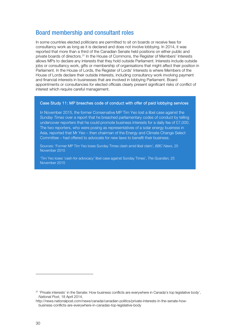## Board membership and consultant roles

In some countries elected politicians are permitted to sit on boards or receive fees for consultancy work as long as it is declared and does not involve lobbying. In 2014, it was reported that more than a third of the Canadian Senate held positions on either public and private boards of directors.<sup>[31](#page-31-0)</sup> In the House of Commons, the Register of Members' Interests allows MPs to declare any interests that they hold outside Parliament. Interests include outside jobs or consultancy work, gifts or membership of organisations that might affect their position in Parliament. In the House of Lords, the Register of Lords' Interests is where Members of the House of Lords declare their outside interests, including consultancy work involving payment and financial interests in businesses that are involved in lobbying Parliament. Board appointments or consultancies for elected officials clearly present significant risks of conflict of interest which require careful management.

#### Case Study 11: MP breaches code of conduct with offer of paid lobbying services

In November 2015, the former Conservative MP Tim Yeo lost a libel case against the Sunday Times over a report that he breached parliamentary codes of conduct by telling undercover reporters that he could promote business interests for a daily fee of £7,000. The two reporters, who were posing as representatives of a solar energy business in Asia, reported that Mr Yeo – then chairman of the Energy and Climate Change Select Committee – had offered to advocate for new laws to benefit their business.

Sources: 'Former MP Tim Yeo loses Sunday Times clash amid libel claim', BBC News, 25 November 2015

'Tim Yeo loses 'cash-for-advocacy' libel case against Sunday Times', The Guardian, 25 November 2015

<span id="page-31-0"></span><sup>31</sup> 'Private interests' in the Senate: How business conflicts are everywhere in Canada's top legislative body', National Post, 18 April 2014.

http://news.nationalpost.com/news/canada/canadian-politics/private-interests-in-the-senate-howbusiness-conflicts-are-everywhere-in-canadas-top-legislative-body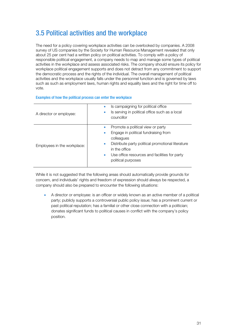# 3.5 Political activities and the workplace

The need for a policy covering workplace activities can be overlooked by companies. A 2008 survey of US companies by the Society for Human Resource Management revealed that only about 25 per cent had a written policy on political activities. To comply with a policy of responsible political engagement, a company needs to map and manage some types of political activities in the workplace and assess associated risks. The company should ensure its policy for workplace political engagement supports and does not detract from any commitment to support the democratic process and the rights of the individual. The overall management of political activities and the workplace usually falls under the personnel function and is governed by laws such as such as employment laws, human rights and equality laws and the right for time off to vote.

#### Examples of how the political process can enter the workplace

| A director or employee:     | Is campaigning for political office<br>Is serving in political office such as a local<br>۰<br>councillor                                                                                                                                                            |
|-----------------------------|---------------------------------------------------------------------------------------------------------------------------------------------------------------------------------------------------------------------------------------------------------------------|
| Employees in the workplace: | Promote a political view or party<br>Engage in political fundraising from<br>۰<br>colleagues<br>Distribute party political promotional literature<br>$\bullet$<br>in the office<br>Use office resources and facilities for party<br>$\bullet$<br>political purposes |

While it is not suggested that the following areas should automatically provide grounds for concern, and individuals' rights and freedom of expression should always be respected, a company should also be prepared to encounter the following situations:

• A director or employee: is an officer or widely known as an active member of a political party; publicly supports a controversial public policy issue; has a prominent current or past political reputation; has a familial or other close connection with a politician; donates significant funds to political causes in conflict with the company's policy position.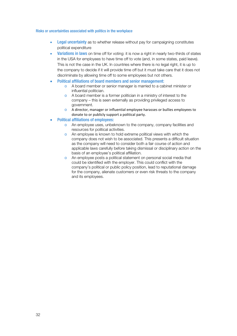#### Risks or uncertainties associated with politics in the workplace

- **Legal uncertainty** as to whether release without pay for campaigning constitutes political expenditure
- Variations in laws on time off for voting: it is now a right in nearly two-thirds of states in the USA for employees to have time off to vote (and, in some states, paid leave). This is not the case in the UK. In countries where there is no legal right, it is up to the company to decide if it will provide time off but it must take care that it does not discriminate by allowing time off to some employees but not others.
- Political affiliations of board members and senior management:
	- o A board member or senior manager is married to a cabinet minister or influential politician.
	- o A board member is a former politician in a ministry of interest to the company – this is seen externally as providing privileged access to government.
	- o A director, manager or influential employee harasses or bullies employees to donate to or publicly support a political party.
- Political affiliations of employees:
	- o An employee uses, unbeknown to the company, company facilities and resources for political activities.
	- o An employee is known to hold extreme political views with which the company does not wish to be associated. This presents a difficult situation as the company will need to consider both a fair course of action and applicable laws carefully before taking dismissal or disciplinary action on the basis of an employee's political affiliation.
	- o An employee posts a political statement on personal social media that could be identified with the employer. This could conflict with the company's political or public policy position, lead to reputational damage for the company, alienate customers or even risk threats to the company and its employees.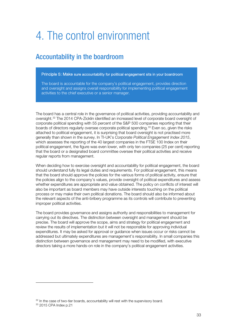# 4. The control environment

# Accountability in the boardroom

#### Principle 5: Make sure accountability for political engagement sits in your boardroom

The board is accountable for the company's political engagement, provides direction and oversight and assigns overall responsibility for implementing political engagement activities to the chief executive or a senior manager.

The board has a central role in the governance of political activities, providing accountability and oversight.[32](#page-34-0) The 2014 CPA-Zicklin identified an increased level of corporate board oversight of corporate political spending with 55 percent of the S&P 500 companies reporting that their boards of directors regularly oversee corporate political spending.<sup>[33](#page-34-1)</sup> Even so, given the risks attached to political engagement, it is surprising that board oversight is not practised more generally than shown in the survey. In TI-UK's Corporate Political Engagement Index 2015, which assesses the reporting of the 40 largest companies in the FTSE 100 Index on their political engagement, the figure was even lower, with only ten companies (25 per cent) reporting that the board or a designated board committee oversee their political activities and receive regular reports from management.

When deciding how to exercise oversight and accountability for political engagement, the board should understand fully its legal duties and requirements. For political engagement, this means that the board should approve the policies for the various forms of political activity, ensure that the policies align to the company's values, provide oversight of political expenditures and assess whether expenditures are appropriate and value obtained. The policy on conflicts of interest will also be important as board members may have outside interests touching on the political process or may make their own political donations. The board should also be informed about the relevant aspects of the anti-bribery programme as its controls will contribute to preventing improper political activities.

The board provides governance and assigns authority and responsibilities to management for carrying out its directives. The distinction between oversight and management should be precise. The board will approve the scope, aims and strategy for political engagement and review the results of implementation but it will not be responsible for approving individual expenditures. It may be asked for approval or guidance when issues occur or risks cannot be addressed but ultimately expenditures are management's responsibility. In small companies this distinction between governance and management may need to be modified, with executive directors taking a more hands-on role in the company's political engagement activities.

j

<span id="page-34-0"></span><sup>&</sup>lt;sup>32</sup> In the case of two-tier boards, accountability will rest with the supervisory board.

<span id="page-34-1"></span><sup>33</sup> 2015 CPA Index p.21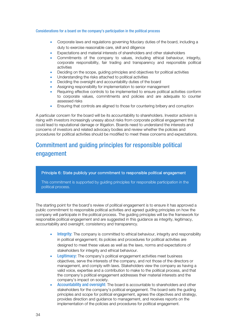#### Considerations for a board on the company's participation in the political process

- Corporate laws and regulations governing fiduciary duties of the board, including a duty to exercise reasonable care, skill and diligence
- Expectations and material interests of shareholders and other stakeholders
- Commitments of the company to values, including ethical behaviour, integrity, corporate responsibility, fair trading and transparency and responsible political activities
- Deciding on the scope, guiding principles and objectives for political activities
- Understanding the risks attached to political activities
- Deciding the oversight and accountability duties of the board
- Assigning responsibility for implementation to senior management
- Requiring effective controls to be implemented to ensure political activities conform to corporate values, commitments and policies and are adequate to counter assessed risks
- Ensuring that controls are aligned to those for countering bribery and corruption

A particular concern for the board will be its accountability to shareholders. Investor activism is rising with investors increasingly uneasy about risks from corporate political engagement that could lead to reputational damage or litigation. Boards need to understand the interests and concerns of investors and related advocacy bodies and review whether the policies and procedures for political activities should be modified to meet these concerns and expectations.

# Commitment and guiding principles for responsible political engagement

Principle 6: State publicly your commitment to responsible political engagement

This commitment is supported by guiding principles for responsible participation in the political process.

The starting point for the board's review of political engagement is to ensure it has approved a public commitment to responsible political activities and agreed guiding principles on how the company will participate in the political process. The guiding principles will be the framework for responsible political engagement and are suggested in this guidance as integrity, legitimacy, accountability and oversight, consistency and transparency.

- Integrity: The company is committed to ethical behaviour, integrity and responsibility in political engagement; its policies and procedures for political activities are designed to meet these values as well as the laws, norms and expectations of stakeholders for integrity and ethical behaviour.
- **Legitimacy:** The company's political engagement activities meet business objectives, serve the interests of the company, and not those of the directors or management, and comply with laws. Stakeholders view the company as having a valid voice, expertise and a contribution to make to the political process, and that the company's political engagement addresses their material interests and the company's impact on society.
- Accountability and oversight: The board is accountable to shareholders and other stakeholders for the company's political engagement. The board sets the guiding principles and scope for political engagement, agrees the objectives and strategy, provides direction and guidance to management, and receives reports on the implementation of the policies and procedures for political engagement.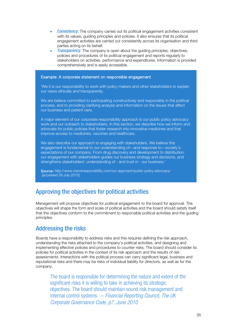- **Consistency:** The company carries out its political engagement activities consistent with its values, guiding principles and policies. It also ensures that its political engagement activities are carried out consistently across its organisation and third parties acting on its behalf.
- **Transparency:** The company is open about the guiding principles, objectives, policies and procedures of its political engagement and reports regularly to stakeholders on activities, performance and expenditures. Information is provided comprehensively and is easily accessible.

#### Example: A corporate statement on responsible engagement

'We it is our responsibility to work with policy makers and other stakeholders to explain our views ethically and transparently.

We are believe committed to participating constructively and responsibly in the political process, and to providing clarifying analysis and information on the issues that affect our business and patient care.

A major element of our corporate responsibility approach is our public policy advocacy work and our outreach to stakeholders. In this section, we describe how we inform and advocate for public policies that foster research into innovative medicines and that improve access to medicines, vaccines and healthcare.

We also describe our approach to engaging with stakeholders. We believe this engagement is fundamental to our understanding of - and response to - society's expectations of our company. From drug discovery and development to distribution, our engagement with stakeholders guides our business strategy and decisions, and strengthens stakeholders' understanding of - and trust in - our business.'

Source: http://www.merckresponsibility.com/our-approach/public-policy-advocacy/ [accessed 28 July 2015]

## Approving the objectives for political activities

Management will propose objectives for political engagement to the board for approval. The objectives will shape the form and scale of political activities and the board should satisfy itself that the objectives conform to the commitment to responsible political activities and the guiding principles.

## Addressing the risks

Boards have a responsibility to address risks and this requires defining the risk approach, understanding the risks attached to the company's political activities, and designing and implementing effective policies and procedures to counter risks. The board should consider its policies for political activities in the context of its risk approach and the results of risk assessments. Interactions with the political process can carry significant legal, business and reputational risks and there may be risks of individual liability for directors, as well as for the company.

The board is responsible for determining the nature and extent of the significant risks it is willing to take in achieving its strategic objectives. The board should maintain sound risk management and internal control systems. – Financial Reporting Council, The UK Corporate Governance Code, p7, June 2010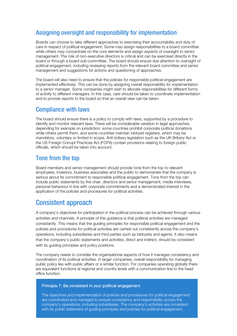# Assigning oversight and responsibility for implementation

Boards can choose to take different approaches to exercising their accountability and duty of care in respect of political engagement. Some may assign responsibilities to a board committee while others may concentrate on the core elements and assign aspects of oversight to senior management. The role of non-executive directors is critical and can be exercised directly in the board or through a board sub-committee. The board should ensure due attention to oversight of political engagement, including reviewing reports from the relevant board committee and senior management and suggestions for actions and questioning of approaches.

The board will also need to ensure that the policies for responsible political engagement are implemented effectively. This can be done by assigning overall responsibility for implementation to a senior manager. Some companies might wish to allocate responsibilities for different forms of activity to different managers. In this case, care should be taken to coordinate implementation and to provide reports to the board so that an overall view can be taken.

## Compliance with laws

The board should ensure there is a policy to comply with laws, supported by a procedure to identify and monitor relevant laws. There will be considerable variation in legal approaches, depending for example on jurisdiction: some countries prohibit corporate political donations while others permit them, and some countries maintain lobbyist registers, which may be mandatory, voluntary or limited in scope. Anti-bribery legislation such as the UK Bribery Act or the US Foreign Corrupt Practices Act (FCPA) contain provisions relating to foreign public officials, which should be taken into account.

## Tone from the top

Board members and senior management should provide tone from the top to relevant employees, investors, business associates and the public to demonstrate that the company is serious about its commitment to responsible political engagement. Tone from the top can include public statements by the chair, directors and senior management, media interviews, personal behaviour in line with corporate commitments and a demonstrated interest in the application of the policies and procedures for political activities.

# Consistent approach

36

A company's objectives for participation in the political process can be achieved through various activities and channels. A principle of this guidance is that political activities are managed consistently. This means that the guiding principles for responsible political engagement and the policies and procedures for political activities are carried out consistently across the company's operations, including subsidiaries and third parties such as lobbyists and agents. It also means that the company's public statements and activities, direct and indirect, should be consistent with its quiding principles and policy positions.

The company needs to consider the organisational aspects of how it manages consistency and coordination of its political activities. In larger companies, overall responsibility for managing public policy lies with public affairs or a similar function. For companies operating globally there are equivalent functions at regional and country levels with a communication line to the head office function.

#### Principle 7: Be consistent in your political engagement

The objectives and implementation of policies and procedures for political engagement are coordinated and managed to ensure consistency and responsibility across the company's operations, including subsidiaries. The company's activities are consistent with its public statement of guiding principles and policies for political engagement.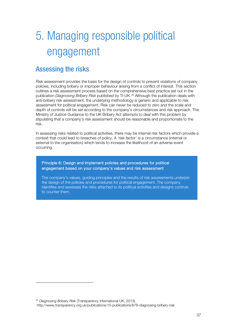# 5. Managing responsible political engagement

# Assessing the risks

Risk assessment provides the basis for the design of controls to prevent violations of company policies, including bribery or improper behaviour arising from a conflict of interest. This section outlines a risk assessment process based on the comprehensive best practice set out in the publication Diagnosing Bribery Risk published by TI-UK.<sup>[34](#page-38-0)</sup> Although the publication deals with anti-bribery risk assessment, the underlying methodology is generic and applicable to risk assessment for political engagement. Risk can never be reduced to zero and the scale and depth of controls will be set according to the company's circumstances and risk approach. The Ministry of Justice Guidance to the UK Bribery Act attempts to deal with this problem by stipulating that a company's risk assessment should be reasonable and proportionate to the risk.

In assessing risks related to political activities, there may be internal risk factors which provide a context that could lead to breaches of policy. A 'risk factor' is a circumstance (internal or external to the organisation) which tends to increase the likelihood of an adverse event occurring.

Principle 8: Design and implement policies and procedures for political engagement based on your company's values and risk assessment

The company's values, guiding principles and the results of risk assessments underpin the design of the policies and procedures for political engagement. The company identifies and assesses the risks attached to its political activities and designs controls to counter them.

<span id="page-38-0"></span><sup>34</sup> Diagnosing Bribery Risk (Transparency International UK, 2013).

j

http://www.transparency.org.uk/publications/15-publications/678-diagnosing-bribery-risk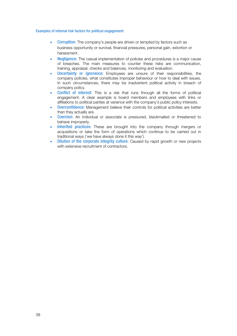#### Examples of internal risk factors for political engagement

- **Corruption:** The company's people are driven or tempted by factors such as business opportunity or survival, financial pressures, personal gain, extortion or harassment.
- Negligence: The casual implementation of policies and procedures is a major cause of breaches. The main measures to counter these risks are communication, training, appraisal, checks and balances, monitoring and evaluation.
- Uncertainty or ignorance: Employees are unsure of their responsibilities, the company policies, what constitutes improper behaviour or how to deal with issues. In such circumstances, there may be inadvertent political activity in breach of company policy.
- Conflict of interest: This is a risk that runs through all the forms of political engagement. A clear example is board members and employees with links or affiliations to political parties at variance with the company's public policy interests.
- Overconfidence: Management believe their controls for political activities are better than they actually are.
- Coercion: An individual or associate is pressured, blackmailed or threatened to behave improperly.
- Inherited practices: These are brought into the company through mergers or acquisitions or take the form of operations which continue to be carried out in traditional ways ('we have always done it this way').
- Dilution of the corporate integrity culture: Caused by rapid growth or new projects with extensive recruitment of contractors.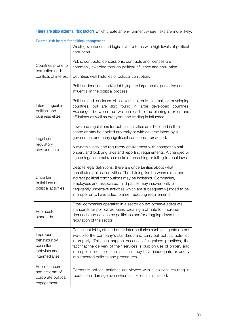There are also external risk factors which create an environment where risks are more likely.

|                                                                                  | Weak governance and legislative systems with high levels of political<br>corruption.                                                                                                                                                                                                                                                                                                                           |
|----------------------------------------------------------------------------------|----------------------------------------------------------------------------------------------------------------------------------------------------------------------------------------------------------------------------------------------------------------------------------------------------------------------------------------------------------------------------------------------------------------|
| Countries prone to                                                               | Public contracts, concessions, contracts and licences are<br>commonly awarded through political influence and corruption.                                                                                                                                                                                                                                                                                      |
| corruption and<br>conflicts of interest                                          | Countries with histories of political corruption.                                                                                                                                                                                                                                                                                                                                                              |
|                                                                                  | Political donations and/or lobbying are large-scale, pervasive and<br>influential in the political process.                                                                                                                                                                                                                                                                                                    |
| Interchangeable<br>political and<br>business elites                              | Political and business elites exist not only in small or developing<br>countries, but are also found in large developed countries.<br>Exchanges between the two can lead to the blurring of roles and<br>affiliations as well as cronyism and trading in influence.                                                                                                                                            |
| Legal and                                                                        | Laws and regulations for political activities are ill-defined in their<br>scope or may be applied arbitrarily or with adverse intent by a<br>government and carry significant sanctions if breached.                                                                                                                                                                                                           |
| regulatory<br>environments                                                       | A dynamic legal and regulatory environment with changes to anti-<br>bribery and lobbying laws and reporting requirements. A changed or<br>tighter legal context raises risks of breaching or failing to meet laws.                                                                                                                                                                                             |
| Uncertain<br>definitions of<br>political activities                              | Despite legal definitions, there are uncertainties about what<br>constitutes political activities. The dividing line between direct and<br>indirect political contributions may be indistinct. Companies,<br>employees and associated third parties may inadvertently or<br>negligently undertake activities which are subsequently judged to be<br>improper or to have failed to meet reporting requirements. |
| Poor sector<br>standards                                                         | Other companies operating in a sector do not observe adequate<br>standards for political activities, creating a climate for improper<br>demands and actions by politicians and/or dragging down the<br>reputation of the sector.                                                                                                                                                                               |
| Improper<br>behaviour by<br>consultant<br>lobbyists and<br><i>intermediaries</i> | Consultant lobbyists and other intermediaries such as agents do not<br>live up to the company's standards and carry out political activities<br>improperly. This can happen because of ingrained practices, the<br>fact that the delivery of their services is built on use of bribery and<br>improper influence or the fact that they have inadequate or poorly<br>implemented policies and procedures.       |
| Public concern<br>and criticism of<br>corporate political<br>engagement          | Corporate political activities are viewed with suspicion, resulting in<br>reputational damage even when suspicion is misplaced.                                                                                                                                                                                                                                                                                |

External risk factors for political engagement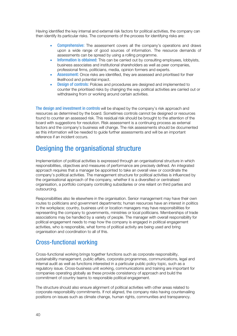Having identified the key internal and external risk factors for political activities, the company can then identify its particular risks. The components of the process for identifying risks are:

- **Comprehensive:** The assessment covers all the company's operations and draws upon a wide range of good sources of information. The resource demands of assessments can be spread by using a rolling programme.
- Information is obtained: This can be carried out by consulting employees, lobbyists, business associates and institutional shareholders as well as peer companies, professional firms, politicians, media, opinion formers and experts.
- Assessment: Once risks are identified, they are assessed and prioritised for their likelihood and potential impact.
- **Design of controls:** Policies and procedures are designed and implemented to counter the prioritised risks by changing the way political activities are carried out or withdrawing from or working around certain activities.

The design and investment in controls will be shaped by the company's risk approach and resources as determined by the board. Sometimes controls cannot be designed or resources found to counter an assessed risk. This residual risk should be brought to the attention of the board with suggestions for resolution. Risk assessment is a continuing process as external factors and the company's business will change. The risk assessments should be documented as this information will be needed to guide further assessments and will be an important reference if an incident occurs.

# Designing the organisational structure

Implementation of political activities is expressed through an organisational structure in which responsibilities, objectives and measures of performance are precisely defined. An integrated approach requires that a manager be appointed to take an overall view or coordinate the company's political activities. The management structure for political activities is influenced by the organisational approach of the company, whether it is a diversified or centralised organisation, a portfolio company controlling subsidiaries or one reliant on third parties and outsourcing.

Responsibilities also lie elsewhere in the organisation. Senior management may have their own routes to politicians and government departments; human resources have an interest in politics in the workplace; country, business unit or location managers may have responsibilities for representing the company to governments, ministries or local politicians. Memberships of trade associations may be handled by a variety of people. The manager with overall responsibility for political engagement needs to map how the company is engaged in political engagement activities, who is responsible, what forms of political activity are being used and bring organisation and coordination to all of this.

## Cross-functional working

Cross-functional working brings together functions such as corporate responsibility, sustainability management, public affairs, corporate programmes, communications, legal and internal audit as well as functions interested in a particular public policy topic, such as a regulatory issue. Cross-business unit working, communications and training are important for companies operating globally as these provide consistency of approach and build the commitment of country teams to responsible political engagement.

The structure should also ensure alignment of political activities with other areas related to corporate responsibility commitments. If not aligned, the company risks having countervailing positions on issues such as climate change, human rights, communities and transparency.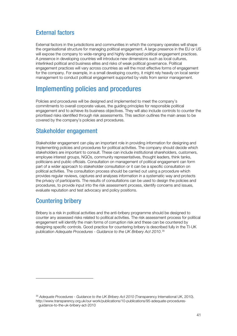# External factors

External factors in the jurisdictions and communities in which the company operates will shape the organisational structure for managing political engagement. A large presence in the EU or US will expose the company to wide-ranging and highly developed political engagement practices. A presence in developing countries will introduce new dimensions such as local cultures, interlinked political and business elites and risks of weak political governance. Political engagement practices will vary across countries as will the most effective forms of engagement for the company. For example, in a small developing country, it might rely heavily on local senior management to conduct political engagement supported by visits from senior management.

# Implementing policies and procedures

Policies and procedures will be designed and implemented to meet the company's commitments to overall corporate values, the guiding principles for responsible political engagement and to achieve its business objectives. They will also include controls to counter the prioritised risks identified through risk assessments. This section outlines the main areas to be covered by the company's policies and procedures.

# Stakeholder engagement

Stakeholder engagement can play an important role in providing information for designing and implementing policies and procedures for political activities. The company should decide which stakeholders are important to consult. These can include institutional shareholders, customers, employee interest groups, NGOs, community representatives, thought leaders, think tanks, politicians and public officials. Consultation on management of political engagement can form part of a wider approach to stakeholder consultation or it can be a specific consultation on political activities. The consultation process should be carried out using a procedure which provides regular reviews, captures and analyses information in a systematic way and protects the privacy of participants. The results of consultations can be used to design the policies and procedures, to provide input into the risk assessment process, identify concerns and issues, evaluate reputation and test advocacy and policy positions.

# Countering bribery

j

Bribery is a risk in political activities and the anti-bribery programme should be designed to counter any assessed risks related to political activities. The risk assessment process for political engagement will identify the main forms of corruption risk and these can be countered by designing specific controls. Good practice for countering bribery is described fully in the TI-UK publication Adequate Procedures - Guidance to the UK Bribery Act 2010.[35](#page-42-0)

<span id="page-42-0"></span><sup>&</sup>lt;sup>35</sup> Adequate Procedures - Guidance to the UK Bribery Act 2010 (Transparency International UK, 2010). http://www.transparency.org.uk/our-work/publications/10-publications/95-adequate-proceduresguidance-to-the-uk-bribery-act-2010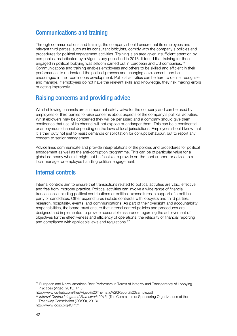## Communications and training

Through communications and training, the company should ensure that its employees and relevant third parties, such as its consultant lobbyists, comply with the company's policies and procedures for political engagement activities. Training is an area given insufficient attention by companies, as indicated by a Vigeo study published in 2013. It found that training for those engaged in political lobbying was seldom carried out in European and US companies.<sup>[36](#page-43-0)</sup> Communications and training enables employees and others to be skilled and efficient in their performance, to understand the political process and changing environment, and be encouraged in their continuous development. Political activities can be hard to define, recognise and manage. If employees do not have the relevant skills and knowledge, they risk making errors or acting improperly.

## Raising concerns and providing advice

Whistleblowing channels are an important safety valve for the company and can be used by employees or third parties to raise concerns about aspects of the company's political activities. Whistleblowers may be concerned they will be penalised and a company should give them confidence that use of its channel will not expose or endanger them. This can be a confidential or anonymous channel depending on the laws of local jurisdictions. Employees should know that it is their duty not just to resist demands or solicitation for corrupt behaviour, but to report any concern to senior management.

Advice lines communicate and provide interpretations of the policies and procedures for political engagement as well as the anti-corruption programme. This can be of particular value for a global company where it might not be feasible to provide on-the-spot support or advice to a local manager or employee handling political engagement.

## Internal controls

Internal controls aim to ensure that transactions related to political activities are valid, effective and free from improper practice. Political activities can involve a wide range of financial transactions including political contributions or political expenditures in support of a political party or candidates. Other expenditures include contracts with lobbyists and third parties, research, hospitality, events, and communications. As part of their oversight and accountability responsibilities, the board must ensure that internal control policies and procedures are designed and implemented to provide reasonable assurance regarding the achievement of objectives for the effectiveness and efficiency of operations, the reliability of financial reporting and compliance with applicable laws and regulations.<sup>[37](#page-43-1)</sup>

j

<span id="page-43-0"></span><sup>36</sup> European and North-American Best Performers In Terms of Integrity and Transparency of Lobbying Practices (Vigeo, 2013), P. 5.

http://www.csrhub.com/files/Vigeo%20Thematic%20Report%20sample.pdf

<span id="page-43-1"></span><sup>&</sup>lt;sup>37</sup> Internal Control Integrated Framework 2013, (The Committee of Sponsoring Organizations of the Treadway Commission (COSO), 2013).

http://www.coso.org/IC.htm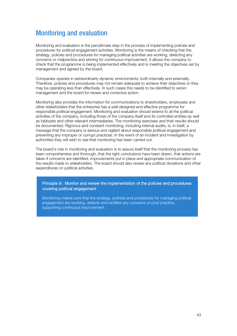# Monitoring and evaluation

Monitoring and evaluation is the penultimate step in the process of implementing policies and procedures for political engagement activities. Monitoring is the means of checking that the strategy, policies and procedures for managing political activities are working, detecting any concerns or malpractice and striving for continuous improvement. It allows the company to check that the programme is being implemented effectively and is meeting the objectives set by management and agreed by the board.

Companies operate in extraordinarily dynamic environments, both internally and externally. Therefore, policies and procedures may not remain adequate to achieve their objectives or they may be operating less than effectively. In such cases this needs to be identified to senior management and the board for review and corrective action.

Monitoring also provides the information for communications to shareholders, employees and other stakeholders that the enterprise has a well-designed and effective programme for responsible political engagement. Monitoring and evaluation should extend to all the political activities of the company, including those of the company itself and its controlled entities as well as lobbyists and other relevant intermediaries. The monitoring exercises and their results should be documented. Rigorous and constant monitoring, including internal audits, is, in itself, a message that the company is serious and vigilant about responsible political engagement and preventing any improper or corrupt practices. In the event of an incident and investigation by authorities they will wish to see that monitoring has been carried out.

The board's role in monitoring and evaluation is to assure itself that the monitoring process has been comprehensive and thorough, that the right conclusions have been drawn, that actions are taken if concerns are identified, improvements put in place and appropriate communication of the results made to stakeholders. The board should also review any political donations and other expenditures on political activities.

Principle 9: Monitor and review the implementation of the policies and procedures covering political engagement

Monitoring makes sure that the strategy, policies and procedures for managing political engagement are working, detects and rectifies any concerns or poor practice, supporting continuous improvement.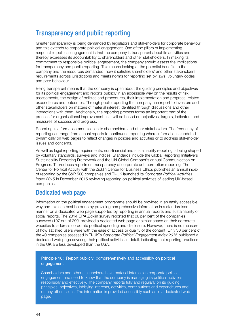# Transparency and public reporting

Greater transparency is being demanded by legislators and stakeholders for corporate behaviour and this extends to corporate political engagement. One of the pillars of implementing responsible political engagement is that the company is transparent about its activities and thereby expresses its accountability to shareholders and other stakeholders. In making its commitment to responsible political engagement, the company should assess the implications for transparency and public reporting. This means looking at the potential benefits to the company and the resources demanded, how it satisfies shareholders' and other stakeholders' requirements across jurisdictions and meets norms for reporting set by laws, voluntary codes and peer behaviour.

Being transparent means that the company is open about the guiding principles and objectives for its political engagement and reports publicly in an accessible way on the results of risk assessments, the design of policies and procedures, their implementation and progress, related expenditures and outcomes. Through public reporting the company can report to investors and other stakeholders on matters of material interest identified through discussions and other interactions with them. Additionally, the reporting process forms an important part of the process for organisational improvement as it will be based on objectives, targets, indicators and measures of success and progress.

Reporting is a formal communication to shareholders and other stakeholders. The frequency of reporting can range from annual reports to continuous reporting where information is updated dynamically on web pages to reflect changes in policies and activities or to address stakeholder issues and concerns.

As well as legal reporting requirements, non-financial and sustainability reporting is being shaped by voluntary standards, surveys and indices. Standards include the Global Reporting Initiative's Sustainability Reporting Framework and the UN Global Compact's annual Communication on Progress. TI produces reports on transparency of corporate anti-corruption reporting. The Center for Political Activity with the Zicklin Center for Business Ethics publishes an annual index of reporting by the S&P 500 companies and TI-UK launched its Corporate Political Activities Index 2015 in December 2015 reviewing reporting on political activities of leading UK-based companies.

## Dedicated web page

Information on the political engagement programme should be provided in an easily accessible way and this can best be done by providing comprehensive information in a standardised manner on a dedicated web page supported by reporting in annual reports and sustainability or social reports. The 2014 CPA Zicklin survey reported that 66 per cent of the companies surveyed (197 out of 299) provided a dedicated web page or similar space on their corporate websites to address corporate political spending and disclosure. However, there is no measure of how satisfied users were with the ease of access or quality of the content. Only 30 per cent of the 40 companies assessed in TI-UK's Corporate Political Engagement Index 2015 published a dedicated web page covering their political activities in detail, indicating that reporting practices in the UK are less developed than the USA.

#### Principle 10: Report publicly, comprehensively and accessibly on political engagement

Shareholders and other stakeholders have material interests in corporate political engagement and need to know that the company is managing its political activities responsibly and effectively. The company reports fully and regularly on its guiding principles, objectives, lobbying interests, activities, contributions and expenditures and on any other issues. The information is provided accessibly such as in a dedicated web page.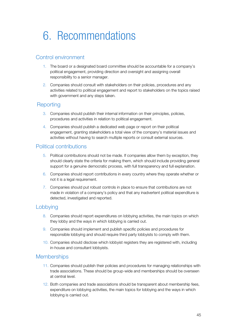# 6. Recommendations

### Control environment

- 1. The board or a designated board committee should be accountable for a company's political engagement, providing direction and oversight and assigning overall responsibility to a senior manager.
- 2. Companies should consult with stakeholders on their policies, procedures and any activities related to political engagement and report to stakeholders on the topics raised with government and any steps taken.

### **Reporting**

- 3. Companies should publish their internal information on their principles, policies, procedures and activities in relation to political engagement.
- 4. Companies should publish a dedicated web page or report on their political engagement, granting stakeholders a total view of the company's material issues and activities without having to search multiple reports or consult external sources.

### Political contributions

- 5. Political contributions should not be made. If companies allow them by exception, they should clearly state the criteria for making them, which should include providing general support for a genuine democratic process, with full transparency and full explanation.
- 6. Companies should report contributions in every country where they operate whether or not it is a legal requirement.
- 7. Companies should put robust controls in place to ensure that contributions are not made in violation of a company's policy and that any inadvertent political expenditure is detected, investigated and reported.

### Lobbying

- 8. Companies should report expenditures on lobbying activities, the main topics on which they lobby and the ways in which lobbying is carried out.
- 9. Companies should implement and publish specific policies and procedures for responsible lobbying and should require third party lobbyists to comply with them.
- 10. Companies should disclose which lobbyist registers they are registered with, including in-house and consultant lobbyists.

### **Memberships**

- 11. Companies should publish their policies and procedures for managing relationships with trade associations. These should be group-wide and memberships should be overseen at central level.
- 12. Both companies and trade associations should be transparent about membership fees, expenditure on lobbying activities, the main topics for lobbying and the ways in which lobbying is carried out.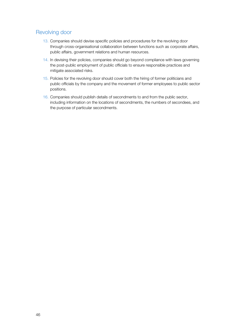### Revolving door

- 13. Companies should devise specific policies and procedures for the revolving door through cross-organisational collaboration between functions such as corporate affairs, public affairs, government relations and human resources.
- 14. In devising their policies, companies should go beyond compliance with laws governing the post-public employment of public officials to ensure responsible practices and mitigate associated risks.
- 15. Policies for the revolving door should cover both the hiring of former politicians and public officials by the company and the movement of former employees to public sector positions.
- 16. Companies should publish details of secondments to and from the public sector, including information on the locations of secondments, the numbers of secondees, and the purpose of particular secondments.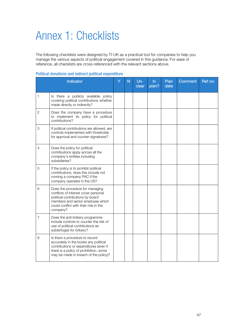# Annex 1: Checklists

The following checklists were designed by TI-UK as a practical tool for companies to help you manage the various aspects of political engagement covered in this guidance. For ease of reference, all checklists are cross-referenced with the relevant sections above.

|  |  |  |  |  | <b>Political donations and indirect political expenditure</b> |
|--|--|--|--|--|---------------------------------------------------------------|
|--|--|--|--|--|---------------------------------------------------------------|

|                | Indicator                                                                                                                                                                                             | Y | N | $Un-$<br>clear | In<br>plan? | Plan<br>date | Comment | Ref no: |
|----------------|-------------------------------------------------------------------------------------------------------------------------------------------------------------------------------------------------------|---|---|----------------|-------------|--------------|---------|---------|
| 1              | Is there a publicly available policy<br>covering political contributions whether<br>made directly or indirectly?                                                                                      |   |   |                |             |              |         |         |
| $\overline{2}$ | Does the company have a procedure<br>to implement its policy for political<br>contributions?                                                                                                          |   |   |                |             |              |         |         |
| 3              | If political contributions are allowed, are<br>controls implemented with thresholds<br>for approval and counter-signatures?                                                                           |   |   |                |             |              |         |         |
| 4              | Does the policy for political<br>contributions apply across all the<br>company's entities including<br>subsidiaries?                                                                                  |   |   |                |             |              |         |         |
| 5              | If the policy is to prohibit political<br>contributions, does this include not<br>running a company PAC if the<br>company operates in the US?                                                         |   |   |                |             |              |         |         |
| 6              | Does the procedure for managing<br>conflicts of interest cover personal<br>political contributions by board<br>members and senior employee which<br>could conflict with their role in the<br>company? |   |   |                |             |              |         |         |
| $\overline{7}$ | Does the anti-bribery programme<br>include controls to counter the risk of<br>use of political contributions as<br>subterfuges for bribery?                                                           |   |   |                |             |              |         |         |
| 8              | Is there a procedure to record<br>accurately in the books any political<br>contributions or expenditures (even if<br>there is a policy of prohibition, some<br>may be made in breach of the policy)?  |   |   |                |             |              |         |         |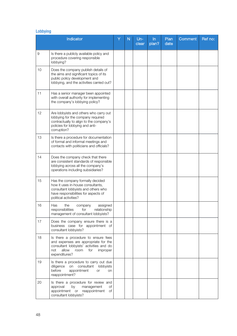## Lobbying

|    | Indicator                                                                                                                                                                          | Ÿ | N | $Un-$<br>clear | $\ln$<br>plan? | Plan<br>date | Comment | Ref no: |
|----|------------------------------------------------------------------------------------------------------------------------------------------------------------------------------------|---|---|----------------|----------------|--------------|---------|---------|
| 9  | Is there a publicly available policy and<br>procedure covering responsible<br>lobbying?                                                                                            |   |   |                |                |              |         |         |
| 10 | Does the company publish details of<br>the aims and significant topics of its<br>public policy development and<br>lobbying, and the activities carried out?                        |   |   |                |                |              |         |         |
| 11 | Has a senior manager been appointed<br>with overall authority for implementing<br>the company's lobbying policy?                                                                   |   |   |                |                |              |         |         |
| 12 | Are lobbyists and others who carry out<br>lobbying for the company required<br>contractually to align to the company's<br>policies for lobbying and anti-<br>corruption?           |   |   |                |                |              |         |         |
| 13 | Is there a procedure for documentation<br>of formal and informal meetings and<br>contacts with politicians and officials?                                                          |   |   |                |                |              |         |         |
| 14 | Does the company check that there<br>are consistent standards of responsible<br>lobbying across all the company's<br>operations including subsidiaries?                            |   |   |                |                |              |         |         |
| 15 | Has the company formally decided<br>how it uses in-house consultants,<br>consultant lobbyists and others who<br>have responsibilities for aspects of<br>political activities?      |   |   |                |                |              |         |         |
| 16 | Has<br>assigned<br>the<br>company<br>responsibilities<br>relationship<br>for<br>management of consultant lobbyists?                                                                |   |   |                |                |              |         |         |
| 17 | Does the company ensure there is a<br>business case for appointment of<br>consultant lobbyists?                                                                                    |   |   |                |                |              |         |         |
| 18 | Is there a procedure to ensure fees<br>and expenses are appropriate for the<br>consultant lobbyists' activities and do<br>allow<br>not<br>room<br>for<br>improper<br>expenditures? |   |   |                |                |              |         |         |
| 19 | Is there a procedure to carry out due<br>diligence<br>on consultant lobbyists<br>before<br>appointment<br><b>or</b><br>on<br>reappointment?                                        |   |   |                |                |              |         |         |
| 20 | Is there a procedure for review and<br>approval<br>by<br>management<br>Οf<br>appointment or reappointment<br><b>of</b><br>consultant lobbyists?                                    |   |   |                |                |              |         |         |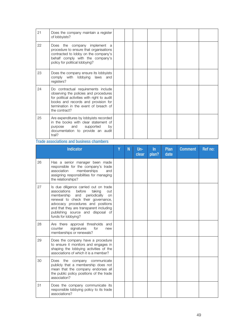| 21 | Does the company maintain a register<br>of lobbyists?                                                                                                                                                                         |  |  |  |  |
|----|-------------------------------------------------------------------------------------------------------------------------------------------------------------------------------------------------------------------------------|--|--|--|--|
| 22 | Does the company implement a<br>procedure to ensure that organisations<br>contracted to lobby on the company's<br>behalf comply with the company's<br>policy for political lobbying?                                          |  |  |  |  |
| 23 | Does the company ensure its lobbyists<br>comply with lobbying<br>laws and<br>registers?                                                                                                                                       |  |  |  |  |
| 24 | Do contractual requirements include<br>observing the policies and procedures<br>for political activities with right to audit<br>books and records and provision for<br>termination in the event of breach of<br>the contract? |  |  |  |  |
| 25 | Are expenditures by lobbyists recorded<br>in the books with clear statement of<br>purpose and supported<br>by<br>documentation to provide an audit<br>trail?                                                                  |  |  |  |  |

#### Trade associations and business chambers

|    | <b>Indicator</b>                                                                                                                                                                                                                                                                                              | γ | N | $Un -$<br>clear | $\ln$<br>plan? | Plan<br>date | <b>Comment</b> | Ref no: |
|----|---------------------------------------------------------------------------------------------------------------------------------------------------------------------------------------------------------------------------------------------------------------------------------------------------------------|---|---|-----------------|----------------|--------------|----------------|---------|
| 26 | Has a senior manager been made<br>responsible for the company's trade<br>association<br>memberships<br>and<br>assigning responsibilities for managing<br>the relationships?                                                                                                                                   |   |   |                 |                |              |                |         |
| 27 | Is due diligence carried out on trade<br>associations<br>before<br>taking<br>out<br>membership<br>periodically<br>and<br>on<br>renewal to check their governance,<br>advocacy procedures and positions<br>and that they are transparent including<br>publishing source and disposal of<br>funds for lobbying? |   |   |                 |                |              |                |         |
| 28 | Are there approval thresholds<br>and<br>signatures<br>for<br>counter<br>new<br>memberships or renewals?                                                                                                                                                                                                       |   |   |                 |                |              |                |         |
| 29 | Does the company have a procedure<br>to ensure it monitors and engages in<br>shaping the lobbying activities of the<br>associations of which it is a member?                                                                                                                                                  |   |   |                 |                |              |                |         |
| 30 | Does the company communicate<br>publicly that a membership does not<br>mean that the company endorses all<br>the public policy positions of the trade<br>association?                                                                                                                                         |   |   |                 |                |              |                |         |
| 31 | Does the company communicate its<br>responsible lobbying policy to its trade<br>associations?                                                                                                                                                                                                                 |   |   |                 |                |              |                |         |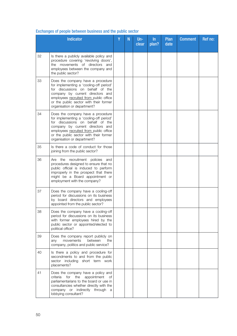|    | <b>Indicator</b>                                                                                                                                                                                                                                                        | Ÿ | N | $Un-$<br>clear | $\ln$<br>plan? | <b>Plan</b><br>date | <b>Comment</b> | Ref no: |
|----|-------------------------------------------------------------------------------------------------------------------------------------------------------------------------------------------------------------------------------------------------------------------------|---|---|----------------|----------------|---------------------|----------------|---------|
| 32 | Is there a publicly available policy and<br>procedure covering 'revolving doors',<br>the movements of directors and<br>employees between the company and<br>the public sector?                                                                                          |   |   |                |                |                     |                |         |
| 33 | Does the company have a procedure<br>for implementing a 'cooling-off period'<br>for discussions on behalf of the<br>company by current directors and<br>employees recruited from public office<br>or the public sector with their former<br>organisation or department? |   |   |                |                |                     |                |         |
| 34 | Does the company have a procedure<br>for implementing a 'cooling-off period'<br>for discussions on behalf of the<br>company by current directors and<br>employees recruited from public office<br>or the public sector with their former<br>organisation or department? |   |   |                |                |                     |                |         |
| 35 | Is there a code of conduct for those<br>joining from the public sector?                                                                                                                                                                                                 |   |   |                |                |                     |                |         |
| 36 | Are the recruitment policies<br>and<br>procedures designed to ensure that no<br>public official is induced to perform<br>improperly in the prospect that there<br>might be a Board appointment or<br>employment with the company?                                       |   |   |                |                |                     |                |         |
| 37 | Does the company have a cooling-off<br>period for discussions on its business<br>by board directors and employees<br>appointed from the public sector?                                                                                                                  |   |   |                |                |                     |                |         |
| 38 | Does the company have a cooling-off<br>period for discussions on its business<br>with former employees hired by the<br>public sector or appointed/elected to<br>political office?                                                                                       |   |   |                |                |                     |                |         |
| 39 | Does the company report publicly on<br>movements<br>between<br>the<br>any<br>company, politics and public service?                                                                                                                                                      |   |   |                |                |                     |                |         |
| 40 | Is there a policy and procedure for<br>secondments to and from the public<br>sector including short term work<br>placements?                                                                                                                                            |   |   |                |                |                     |                |         |
| 41 | Does the company have a policy and<br>appointment<br>criteria<br>for<br>the<br>of<br>parliamentarians to the board or use in<br>consultancies whether directly with the<br>company or indirectly through<br>- a<br>lobbying consultant?                                 |   |   |                |                |                     |                |         |

## Exchanges of people between business and the public sector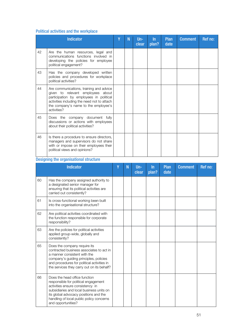## Political activities and the workplace

|    | <b>Indicator</b>                                                                                                                                                                                                              | γ | N | $Un-$<br>clear | $\ln$<br>plan? | <b>Plan</b><br>date | <b>Comment</b> | Ref no: |
|----|-------------------------------------------------------------------------------------------------------------------------------------------------------------------------------------------------------------------------------|---|---|----------------|----------------|---------------------|----------------|---------|
| 42 | Are the human resources, legal and<br>communications functions involved in<br>developing the policies for employee<br>political engagement?                                                                                   |   |   |                |                |                     |                |         |
| 43 | Has the company developed written<br>policies and procedures for workplace<br>political activities?                                                                                                                           |   |   |                |                |                     |                |         |
| 44 | Are communications, training and advice<br>given to relevant employees about<br>participation by employees in political<br>activities including the need not to attach<br>the company's name to the employee's<br>activities? |   |   |                |                |                     |                |         |
| 45 | Does the company document fully<br>discussions or actions with employees<br>about their political activities?                                                                                                                 |   |   |                |                |                     |                |         |
| 46 | Is there a procedure to ensure directors,<br>managers and supervisors do not share<br>with or impose on their employees their<br>political views and opinions?                                                                |   |   |                |                |                     |                |         |

### Designing the organisational structure

|    | <b>Indicator</b>                                                                                                                                                                                                                                                 | γ | N | $Un -$<br>clear | $\ln$<br>plan? | Plan<br>date | <b>Comment</b> | Ref no: |
|----|------------------------------------------------------------------------------------------------------------------------------------------------------------------------------------------------------------------------------------------------------------------|---|---|-----------------|----------------|--------------|----------------|---------|
| 60 | Has the company assigned authority to<br>a designated senior manager for<br>ensuring that its political activities are<br>carried out consistently?                                                                                                              |   |   |                 |                |              |                |         |
| 61 | Is cross-functional working been built<br>into the organisational structure?                                                                                                                                                                                     |   |   |                 |                |              |                |         |
| 62 | Are political activities coordinated with<br>the function responsible for corporate<br>responsibility?                                                                                                                                                           |   |   |                 |                |              |                |         |
| 63 | Are the policies for political activities<br>applied group-wide, globally and<br>consistently?                                                                                                                                                                   |   |   |                 |                |              |                |         |
| 65 | Does the company require its<br>contracted business associates to act in<br>a manner consistent with the<br>company's guiding principles, policies<br>and procedures for political activities in<br>the services they carry out on its behalf?                   |   |   |                 |                |              |                |         |
| 66 | Does the head office function<br>responsible for political engagement<br>activities ensure consistency in<br>subsidiaries and local business units on<br>its global advocacy positions and the<br>handling of local public policy concerns<br>and opportunities? |   |   |                 |                |              |                |         |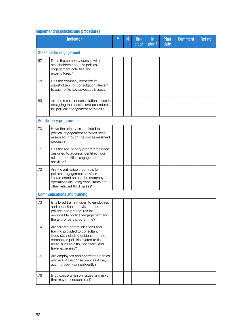## Implementing policies and procedures

|    | <b>Indicator</b>                                                                                                                                                                                            | Y | N | $Un -$<br>clear | $\ln$<br>plan? | <b>Plan</b><br>date | <b>Comment</b> | Ref no: |
|----|-------------------------------------------------------------------------------------------------------------------------------------------------------------------------------------------------------------|---|---|-----------------|----------------|---------------------|----------------|---------|
|    | <b>Stakeholder engagement</b>                                                                                                                                                                               |   |   |                 |                |                     |                |         |
| 67 | Does the company consult with<br>stakeholders about its political<br>engagement activities and<br>expenditures?                                                                                             |   |   |                 |                |                     |                |         |
| 68 | Has the company identified its<br>stakeholders for consultation relevant<br>to each of its key advocacy issues?                                                                                             |   |   |                 |                |                     |                |         |
| 69 | Are the results of consultations used in<br>designing the policies and procedures<br>for political engagement activities?                                                                                   |   |   |                 |                |                     |                |         |
|    | <b>Anti-bribery programme</b>                                                                                                                                                                               |   |   |                 |                |                     |                |         |
| 70 | Have the bribery risks related to<br>political engagement activities been<br>assessed through the risk assessment<br>process?                                                                               |   |   |                 |                |                     |                |         |
| 71 | Has the anti-bribery programme been<br>designed to address identified risks<br>related to political engagement<br>activities?                                                                               |   |   |                 |                |                     |                |         |
| 72 | Are the anti-bribery controls for<br>political engagement activities<br>implemented across the company's<br>operations including consultants and<br>other relevant third parties?                           |   |   |                 |                |                     |                |         |
|    | <b>Communications and training</b>                                                                                                                                                                          |   |   |                 |                |                     |                |         |
| 73 | Is tailored training given to employees<br>and consultant lobbyists on the<br>policies and procedures for<br>responsible political engagement and<br>the anti-bribery programme?                            |   |   |                 |                |                     |                |         |
| 74 | Are tailored communications and<br>training provided to consultant<br>lobbyists including guidance on the<br>company's policies related to risk<br>areas such as gifts, hospitality and<br>travel expenses? |   |   |                 |                |                     |                |         |
| 75 | Are employees and contracted parties<br>advised of the consequences if they<br>act improperly or negligently?                                                                                               |   |   |                 |                |                     |                |         |
| 76 | Is guidance given on issues and risks<br>that may be encountered?                                                                                                                                           |   |   |                 |                |                     |                |         |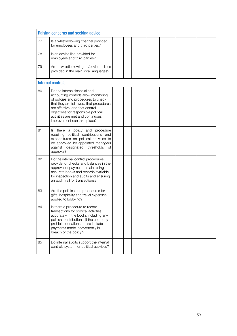| Raising concerns and seeking advice |                                                                                                                                                                                                                                                                                                        |  |  |  |  |  |  |  |  |
|-------------------------------------|--------------------------------------------------------------------------------------------------------------------------------------------------------------------------------------------------------------------------------------------------------------------------------------------------------|--|--|--|--|--|--|--|--|
| 77                                  | Is a whistleblowing channel provided<br>for employees and third parties?                                                                                                                                                                                                                               |  |  |  |  |  |  |  |  |
| 78                                  | Is an advice line provided for<br>employees and third parties?                                                                                                                                                                                                                                         |  |  |  |  |  |  |  |  |
| 79                                  | whistleblowing<br>/advice<br>Are<br>lines<br>provided in the main local languages?                                                                                                                                                                                                                     |  |  |  |  |  |  |  |  |
|                                     | <b>Internal controls</b>                                                                                                                                                                                                                                                                               |  |  |  |  |  |  |  |  |
| 80                                  | Do the internal financial and<br>accounting controls allow monitoring<br>of policies and procedures to check<br>that they are followed, that procedures<br>are effective, and that control<br>objectives for responsible political<br>activities are met and continuous<br>improvement can take place? |  |  |  |  |  |  |  |  |
| 81                                  | Is there a policy and procedure<br>requiring political contributions and<br>expenditures on political activities to<br>be approved by appointed managers<br>against designated thresholds<br>of<br>approval?                                                                                           |  |  |  |  |  |  |  |  |
| 82                                  | Do the internal control procedures<br>provide for checks and balances in the<br>approval of payments, maintaining<br>accurate books and records available<br>for inspection and audits and ensuring<br>an audit trail for transactions?                                                                |  |  |  |  |  |  |  |  |
| 83                                  | Are the policies and procedures for<br>gifts, hospitality and travel expenses<br>applied to lobbying?                                                                                                                                                                                                  |  |  |  |  |  |  |  |  |
| 84                                  | Is there a procedure to record<br>transactions for political activities<br>accurately in the books including any<br>political contributions (if the company<br>prohibits donations, these include<br>payments made inadvertently in<br>breach of the policy)?                                          |  |  |  |  |  |  |  |  |
| 85                                  | Do internal audits support the internal<br>controls system for political activities?                                                                                                                                                                                                                   |  |  |  |  |  |  |  |  |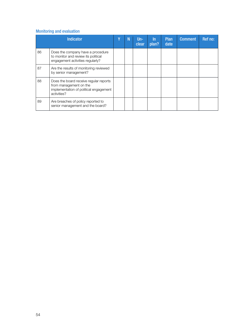## Monitoring and evaluation

|    | <b>Indicator</b>                                                                                                          | ٧ | N | Un-<br>clear | ln.<br>plan? | <b>Plan</b><br>date | <b>Comment</b> | Ref no: |
|----|---------------------------------------------------------------------------------------------------------------------------|---|---|--------------|--------------|---------------------|----------------|---------|
| 86 | Does the company have a procedure<br>to monitor and review its political<br>engagement activities regularly?              |   |   |              |              |                     |                |         |
| 87 | Are the results of monitoring reviewed<br>by senior management?                                                           |   |   |              |              |                     |                |         |
| 88 | Does the board receive regular reports<br>from management on the<br>implementation of political engagement<br>activities? |   |   |              |              |                     |                |         |
| 89 | Are breaches of policy reported to<br>senior management and the board?                                                    |   |   |              |              |                     |                |         |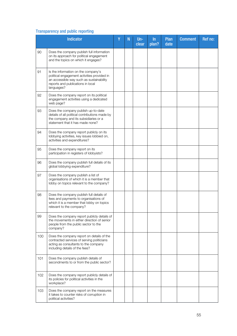## Transparency and public reporting

|     | Indicator                                                                                                                                                                         | Ÿ | N | $Un -$<br>clear | ln<br>plan? | <b>Plan</b><br>date | <b>Comment</b> | Ref no: |
|-----|-----------------------------------------------------------------------------------------------------------------------------------------------------------------------------------|---|---|-----------------|-------------|---------------------|----------------|---------|
| 90  | Does the company publish full information<br>on its approach for political engagement<br>and the topics on which it engages?                                                      |   |   |                 |             |                     |                |         |
| 91  | Is the information on the company's<br>political engagement activities provided in<br>an accessible way such as sustainability<br>reports and publications in local<br>languages? |   |   |                 |             |                     |                |         |
| 92  | Does the company report on its political<br>engagement activities using a dedicated<br>web page?                                                                                  |   |   |                 |             |                     |                |         |
| 93  | Does the company publish up-to-date<br>details of all political contributions made by<br>the company and its subsidiaries or a<br>statement that it has made none?                |   |   |                 |             |                     |                |         |
| 94  | Does the company report publicly on its<br>lobbying activities, key issues lobbied on,<br>activities and expenditures?                                                            |   |   |                 |             |                     |                |         |
| 95  | Does the company report on its<br>participation in registers of lobbyists?                                                                                                        |   |   |                 |             |                     |                |         |
| 96  | Does the company publish full details of its<br>global lobbying expenditure?                                                                                                      |   |   |                 |             |                     |                |         |
| 97  | Does the company publish a list of<br>organisations of which it is a member that<br>lobby on topics relevant to the company?                                                      |   |   |                 |             |                     |                |         |
| 98  | Does the company publish full details of<br>fees and payments to organisations of<br>which it is a member that lobby on topics<br>relevant to the company?                        |   |   |                 |             |                     |                |         |
| 99  | Does the company report publicly details of<br>the movements in either direction of senior<br>people from the public sector to the<br>company?                                    |   |   |                 |             |                     |                |         |
| 100 | Does the company report on details of the<br>contracted services of serving politicians<br>acting as consultants to the company<br>including details of the fees?                 |   |   |                 |             |                     |                |         |
| 101 | Does the company publish details of<br>secondments to or from the public sector?                                                                                                  |   |   |                 |             |                     |                |         |
| 102 | Does the company report publicly details of<br>its policies for political activities in the<br>workplace?                                                                         |   |   |                 |             |                     |                |         |
| 103 | Does the company report on the measures<br>it takes to counter risks of corruption in<br>political activities?                                                                    |   |   |                 |             |                     |                |         |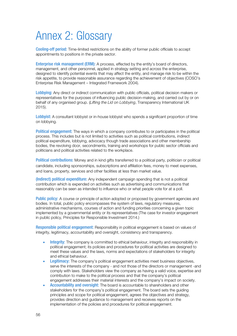# Annex 2: Glossary

Cooling-off period: Time-limited restrictions on the ability of former public officials to accept appointments to positions in the private sector.

Enterprise risk management (ERM): A process, effected by the entity's board of directors, management, and other personnel, applied in strategy setting and across the enterprise, designed to identify potential events that may affect the entity, and manage risk to be within the risk appetite, to provide reasonable assurance regarding the achievement of objectives (COSO's Enterprise Risk Management – Integrated Framework 2004).

Lobbying: Any direct or indirect communication with public officials, political decision makers or representatives for the purposes of influencing public decision-making, and carried out by or on behalf of any organised group. (Lifting the Lid on Lobbying, Transparency International UK 2015).

Lobbyist: A consultant lobbyist or in-house lobbyist who spends a significant proportion of time on lobbying.

Political engagement: The ways in which a company contributes to or participates in the political process. This includes but is not limited to activities such as political contributions, indirect political expenditure, lobbying, advocacy though trade associations and other membership bodies, the revolving door, secondments, training and workshops for public sector officials and politicians and political activities related to the workplace.

Political contributions: Money and in kind gifts transferred to a political party, politician or political candidate, including sponsorships, subscriptions and affiliation fees, money to meet expenses, and loans, property, services and other facilities at less than market value.

(Indirect) political expenditure: Any independent campaign spending that is not a political contribution which is expended on activities such as advertising and communications that reasonably can be seen as intended to influence who or what people vote for at a poll.

Public policy: A course or principle of action adopted or proposed by government agencies and bodies. In total, public policy encompasses the system of laws, regulatory measures, administrative mechanisms, courses of action and funding priorities concerning a given topic implemented by a governmental entity or its representatives (The case for investor engagement in public policy, Principles for Responsible Investment 2014.)

Responsible political engagement: Responsibility in political engagement is based on values of integrity, legitimacy, accountability and oversight, consistency and transparency.

- Integrity: The company is committed to ethical behaviour, integrity and responsibility in political engagement; its policies and procedures for political activities are designed to meet these values and the laws, norms and expectations of stakeholders for integrity and ethical behaviour.
- Legitimacy: The company's political engagement activities meet business objectives, serve the interests of the company - and not those of the directors or management -and comply with laws. Stakeholders view the company as having a valid voice, expertise and contribution to make to the political process and that the company's political engagement addresses their material interests and the company's impact on society.
- Accountability and oversight: The board is accountable to shareholders and other stakeholders for the company's political engagement. The board sets the guiding principles and scope for political engagement, agrees the objectives and strategy, provides direction and guidance to management and receives reports on the implementation of the policies and procedures for political engagement.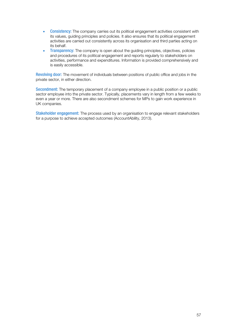- Consistency: The company carries out its political engagement activities consistent with its values, guiding principles and policies. It also ensures that its political engagement activities are carried out consistently across its organisation and third parties acting on its behalf.
- Transparency: The company is open about the guiding principles, objectives, policies and procedures of its political engagement and reports regularly to stakeholders on activities, performance and expenditures. Information is provided comprehensively and is easily accessible.

Revolving door: The movement of individuals between positions of public office and jobs in the private sector, in either direction.

Secondment: The temporary placement of a company employee in a public position or a public sector employee into the private sector. Typically, placements vary in length from a few weeks to even a year or more. There are also secondment schemes for MPs to gain work experience in UK companies.

Stakeholder engagement: The process used by an organisation to engage relevant stakeholders for a purpose to achieve accepted outcomes (AccountAbility, 2013).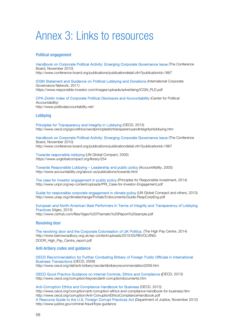# Annex 3: Links to resources

#### Political engagement

Handbook on Corporate Political Activity: Emerging Corporate Governance Issue (The Conference Board, November 2010) http://www.conference-board.org/publications/publicationdetail.cfm?publicationid=1867

ICGN Statement and Guidance on Political Lobbying and Donations (International Corporate Governance Network, 2011) https://www.responsible-investor.com/images/uploads/advertising/ICGN\_PLD.pdf

CPA-Zicklin Index of Corporate Political Disclosure and Accountability (Center for Political Accountability) http://www.politicalaccountability.net/

#### Lobbying

Principles for Transparency and Integrity in Lobbying (OECD, 2013) http://www.oecd.org/gov/ethics/oecdprinciplesfortransparencyandintegrityinlobbying.htm

Handbook on Corporate Political Activity: Emerging Corporate Governance Issue (The Conference Board, November 2010) http://www.conference-board.org/publications/publicationdetail.cfm?publicationid=1867

Towards responsible lobbying (UN Global Compact, 2005) https://www.unglobalcompact.org/library/254

Towards Responsible Lobbying – Leadership and public policy (AccountAbility, 2005) http://www.accountability.org/about-us/publications/towards.html

The case for investor engagement in public policy (Principles for Responsible Investment, 2014) http://www.unpri.org/wp-content/uploads/PRI\_Case-for-Investor-Engagement.pdf

Guide for responsible corporate engagement in climate policy (UN Global Compact and others, 2013) http://www.unep.org/climatechange/Portals/5/documents/Guide-RespCorpEng.pdf

European and North-American Best Performers In Terms of Integrity and Transparency of Lobbying Practices (Vigeo, 2013) http://www.csrhub.com/files/Vigeo%20Thematic%20Report%20sample.pdf

#### Revolving door

The revolving door and the Corporate Colonisation of UK Politics, (The High Pay Centre, 2014) http://www.barrowcadbury.org.uk/wp-content/uploads/2015/03/REVOLVING-DOOR\_High\_Pay\_Centre\_report.pdf

#### Anti-bribery codes and guidance

OECD Recommendation for Further Combating Bribery of Foreign Public Officials in International Business Transactions (OECD, 2009) http://www.oecd.org/daf/anti-bribery/oecdantibriberyrecommendation2009.htm

OECD Good Practice Guidance on Internal Controls, Ethics and Compliance (OECD, 2013) http://www.oecd.org/corruption/keyoecdanti-corruptiondocuments.htm

Anti-Corruption Ethics and Compliance Handbook for Business (OECD, 2013) http://www.oecd.org/corruption/anti-corruption-ethics-and-compliance-handbook-for-business.htm http://www.oecd.org/corruption/Anti-CorruptionEthicsComplianceHandbook.pdf A Resource Guide to the U.S. Foreign Corrupt Practices Act (Department of Justice, November 2012) http://www.justice.gov/criminal-fraud/fcpa-guidance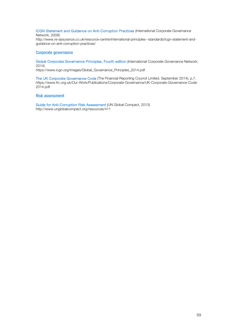ICGN Statement and Guidance on Anti-Corruption Practices (International Corporate Governance Network, 2009)

http://www.re-assurance.co.uk/resource-centre/international-principles--standards/icgn-statement-andguidance-on-anti-corruption-practices/

#### Corporate governance

Global Corporate Governance Principles, Fourth edition (International Corporate Governance Network, 2014)

https://www.icgn.org/images/Global\_Governance\_Principles\_2014.pdf

The UK Corporate Governance Code (The Financial Reporting Council Limited. September 2014), p.7. https://www.frc.org.uk/Our-Work/Publications/Corporate-Governance/UK-Corporate-Governance-Code-2014.pdf

#### Risk assessment

Guide for Anti-Corruption Risk Assessment (UN Global Compact, 2013) http://www.unglobalcompact.org/resources/411